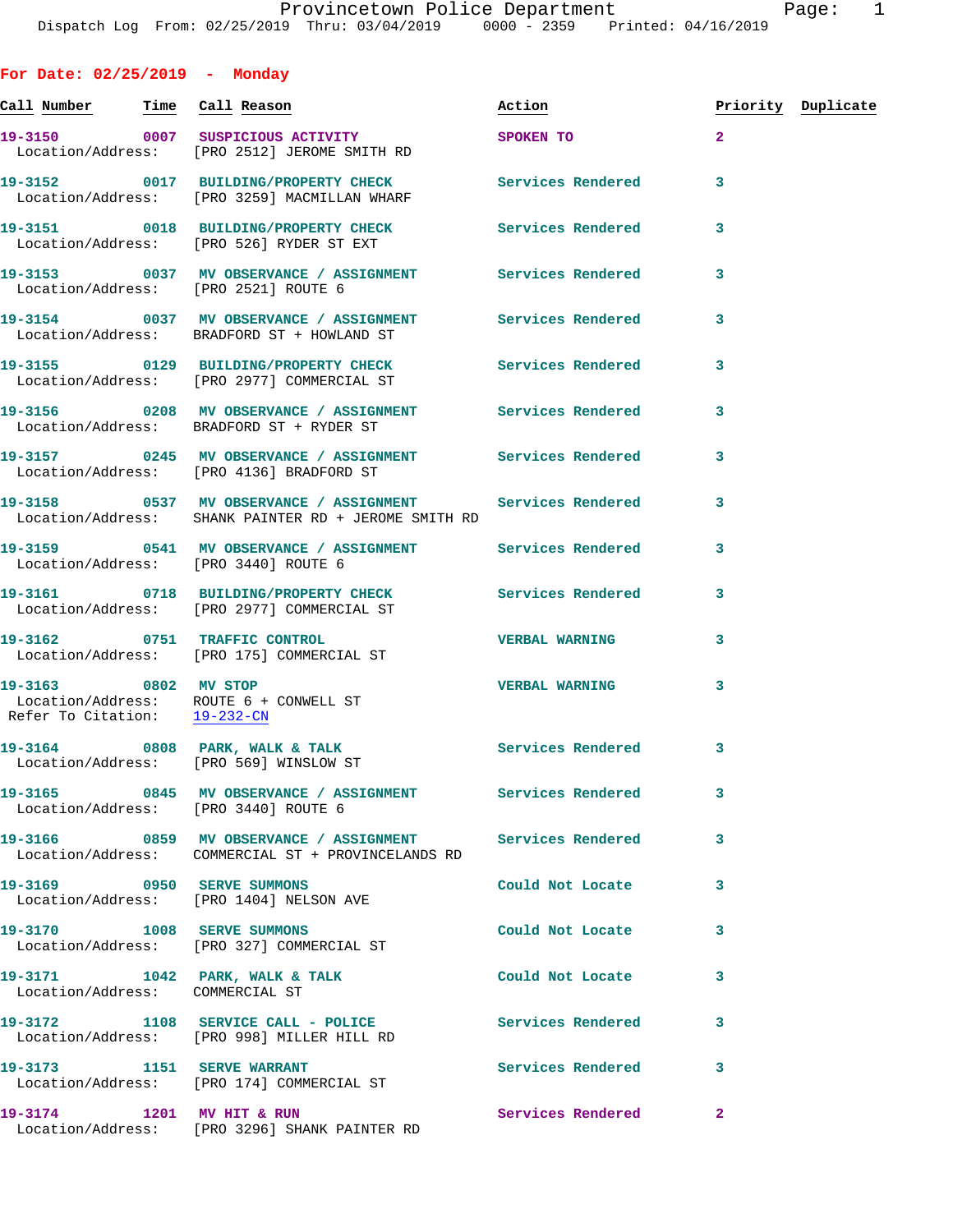**For Date: 02/25/2019 - Monday Call Number Time Call Reason Action Priority Duplicate 19-3150 0007 SUSPICIOUS ACTIVITY SPOKEN TO 2**  Location/Address: [PRO 2512] JEROME SMITH RD **19-3152 0017 BUILDING/PROPERTY CHECK Services Rendered 3**  Location/Address: [PRO 3259] MACMILLAN WHARF **19-3151 0018 BUILDING/PROPERTY CHECK Services Rendered 3**  Location/Address: [PRO 526] RYDER ST EXT **19-3153 0037 MV OBSERVANCE / ASSIGNMENT Services Rendered 3**  Location/Address: [PRO 2521] ROUTE 6 **19-3154 0037 MV OBSERVANCE / ASSIGNMENT Services Rendered 3**  Location/Address: BRADFORD ST + HOWLAND ST **19-3155 0129 BUILDING/PROPERTY CHECK Services Rendered 3**  Location/Address: [PRO 2977] COMMERCIAL ST **19-3156 0208 MV OBSERVANCE / ASSIGNMENT Services Rendered 3**  Location/Address: BRADFORD ST + RYDER ST **19-3157 0245 MV OBSERVANCE / ASSIGNMENT Services Rendered 3**  Location/Address: [PRO 4136] BRADFORD ST **19-3158 0537 MV OBSERVANCE / ASSIGNMENT Services Rendered 3**  Location/Address: SHANK PAINTER RD + JEROME SMITH RD **19-3159 0541 MV OBSERVANCE / ASSIGNMENT Services Rendered 3**  Location/Address: [PRO 3440] ROUTE 6 **19-3161 0718 BUILDING/PROPERTY CHECK Services Rendered 3**  Location/Address: [PRO 2977] COMMERCIAL ST **19-3162 0751 TRAFFIC CONTROL VERBAL WARNING 3**  Location/Address: [PRO 175] COMMERCIAL ST **19-3163 0802 MV STOP VERBAL WARNING 3**  Location/Address: ROUTE 6 + CONWELL ST Refer To Citation: 19-232-CN 19-3164 0808 PARK, WALK & TALK **Services Rendered** 3 Location/Address: [PRO 569] WINSLOW ST **19-3165 0845 MV OBSERVANCE / ASSIGNMENT Services Rendered 3**  Location/Address: [PRO 3440] ROUTE 6 **19-3166 0859 MV OBSERVANCE / ASSIGNMENT Services Rendered 3**  Location/Address: COMMERCIAL ST + PROVINCELANDS RD **19-3169 0950 SERVE SUMMONS Could Not Locate 3**  Location/Address: [PRO 1404] NELSON AVE **19-3170 1008 SERVE SUMMONS Could Not Locate 3**  Location/Address: [PRO 327] COMMERCIAL ST **19-3171 1042 PARK, WALK & TALK Could Not Locate 3**  Location/Address: COMMERCIAL ST **19-3172 1108 SERVICE CALL - POLICE Services Rendered 3**  Location/Address: [PRO 998] MILLER HILL RD

**19-3173 1151 SERVE WARRANT Services Rendered 3**  Location/Address: [PRO 174] COMMERCIAL ST **19-3174 1201 MV HIT & RUN Services Rendered 2**  Location/Address: [PRO 3296] SHANK PAINTER RD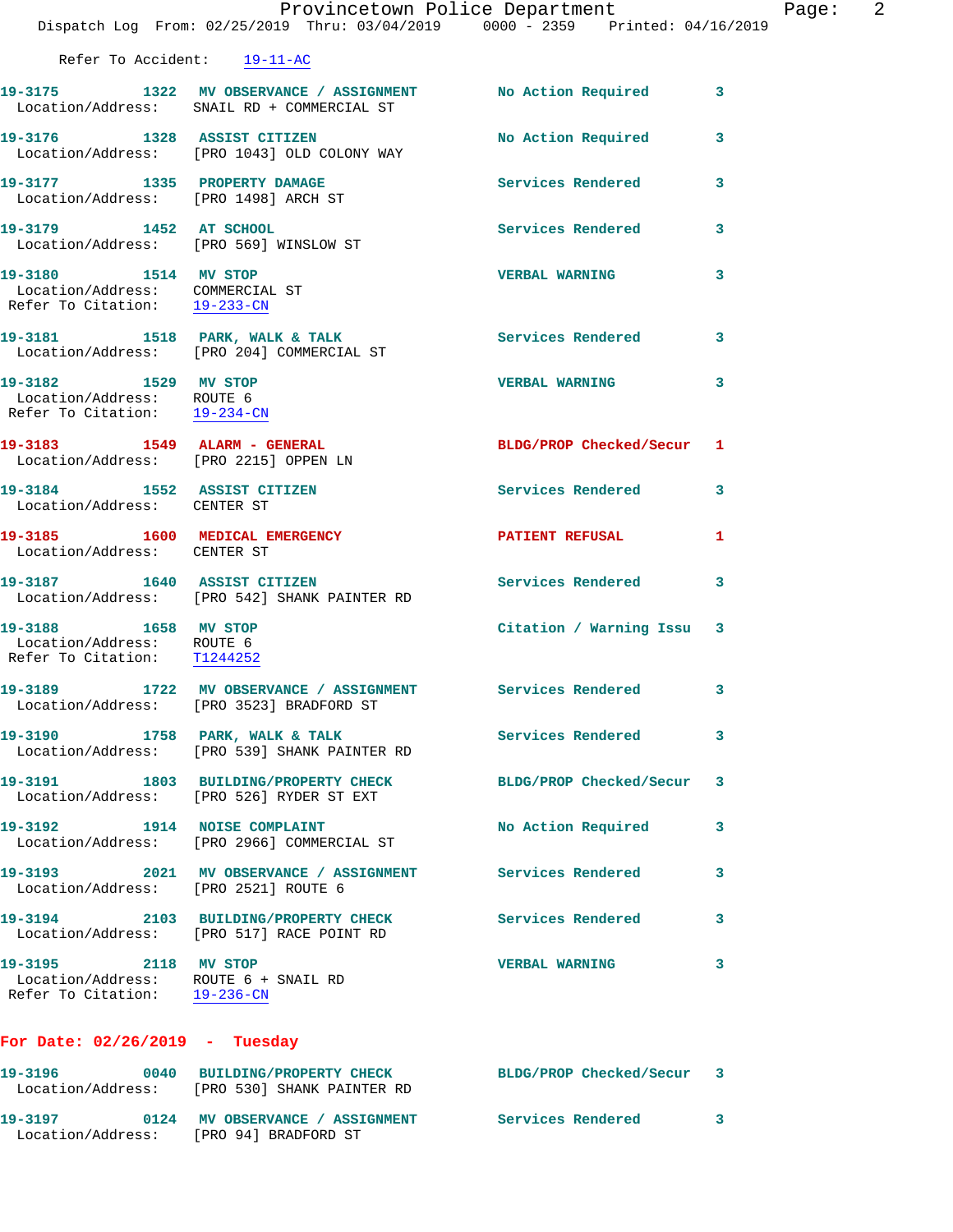|                                                                                              | Provincetown Police Department                                                      | Dispatch Log From: 02/25/2019 Thru: 03/04/2019 0000 - 2359 Printed: 04/16/2019                           |   |
|----------------------------------------------------------------------------------------------|-------------------------------------------------------------------------------------|----------------------------------------------------------------------------------------------------------|---|
| Refer To Accident: 19-11-AC                                                                  |                                                                                     |                                                                                                          |   |
|                                                                                              |                                                                                     | 19-3175 1322 MV OBSERVANCE / ASSIGNMENT No Action Required<br>Location/Address: SNAIL RD + COMMERCIAL ST | 3 |
|                                                                                              | 19-3176 1328 ASSIST CITIZEN<br>Location/Address: [PRO 1043] OLD COLONY WAY          | <b>No Action Required</b>                                                                                | 3 |
| 19-3177 1335 PROPERTY DAMAGE<br>Location/Address: [PRO 1498] ARCH ST                         |                                                                                     | <b>Services Rendered</b>                                                                                 | 3 |
| 19-3179 1452 AT SCHOOL<br>Location/Address: [PRO 569] WINSLOW ST                             |                                                                                     | <b>Services Rendered</b>                                                                                 | 3 |
| 19-3180 1514 MV STOP<br>Location/Address: COMMERCIAL ST<br>Refer To Citation: 19-233-CN      |                                                                                     | <b>VERBAL WARNING</b>                                                                                    | 3 |
|                                                                                              | 19-3181 1518 PARK, WALK & TALK<br>Location/Address: [PRO 204] COMMERCIAL ST         | Services Rendered                                                                                        | 3 |
| 19-3182 1529 MV STOP<br>Location/Address: ROUTE 6<br>Refer To Citation: 19-234-CN            |                                                                                     | <b>VERBAL WARNING</b>                                                                                    | 3 |
| 19-3183 1549 ALARM - GENERAL<br>Location/Address: [PRO 2215] OPPEN LN                        |                                                                                     | BLDG/PROP Checked/Secur                                                                                  | 1 |
| 19-3184 1552 ASSIST CITIZEN<br>Location/Address: CENTER ST                                   |                                                                                     | Services Rendered                                                                                        | 3 |
| 19-3185 1600 MEDICAL EMERGENCY<br>Location/Address: CENTER ST                                |                                                                                     | <b>PATIENT REFUSAL</b>                                                                                   | 1 |
|                                                                                              | 19-3187 1640 ASSIST CITIZEN<br>Location/Address: [PRO 542] SHANK PAINTER RD         | <b>Services Rendered</b>                                                                                 | 3 |
| 19-3188 1658 MV STOP<br>Location/Address: ROUTE 6<br>Refer To Citation: T1244252             |                                                                                     | Citation / Warning Issu                                                                                  | 3 |
|                                                                                              | 19-3189 1722 MV OBSERVANCE / ASSIGNMENT<br>Location/Address: [PRO 3523] BRADFORD ST | Services Rendered                                                                                        | 3 |
| 19-3190 1758 PARK, WALK & TALK                                                               | Location/Address: [PRO 539] SHANK PAINTER RD                                        | <b>Services Rendered</b>                                                                                 | 3 |
|                                                                                              | 19-3191 1803 BUILDING/PROPERTY CHECK<br>Location/Address: [PRO 526] RYDER ST EXT    | BLDG/PROP Checked/Secur                                                                                  | 3 |
|                                                                                              | 19-3192 1914 NOISE COMPLAINT<br>Location/Address: [PRO 2966] COMMERCIAL ST          | No Action Required                                                                                       | 3 |
| Location/Address: [PRO 2521] ROUTE 6                                                         | 19-3193 2021 MV OBSERVANCE / ASSIGNMENT Services Rendered                           |                                                                                                          | 3 |
|                                                                                              | 19-3194 2103 BUILDING/PROPERTY CHECK<br>Location/Address: [PRO 517] RACE POINT RD   | <b>Services Rendered</b>                                                                                 | 3 |
| 19-3195 2118 MV STOP<br>Location/Address: ROUTE 6 + SNAIL RD<br>Refer To Citation: 19-236-CN |                                                                                     | <b>VERBAL WARNING</b>                                                                                    | 3 |
| For Date: $02/26/2019$ - Tuesday                                                             |                                                                                     |                                                                                                          |   |

**19-3196 0040 BUILDING/PROPERTY CHECK BLDG/PROP Checked/Secur 3**  Location/Address: [PRO 530] SHANK PAINTER RD **19-3197 0124 MV OBSERVANCE / ASSIGNMENT Services Rendered 3**  Location/Address: [PRO 94] BRADFORD ST

Page: 2<br>9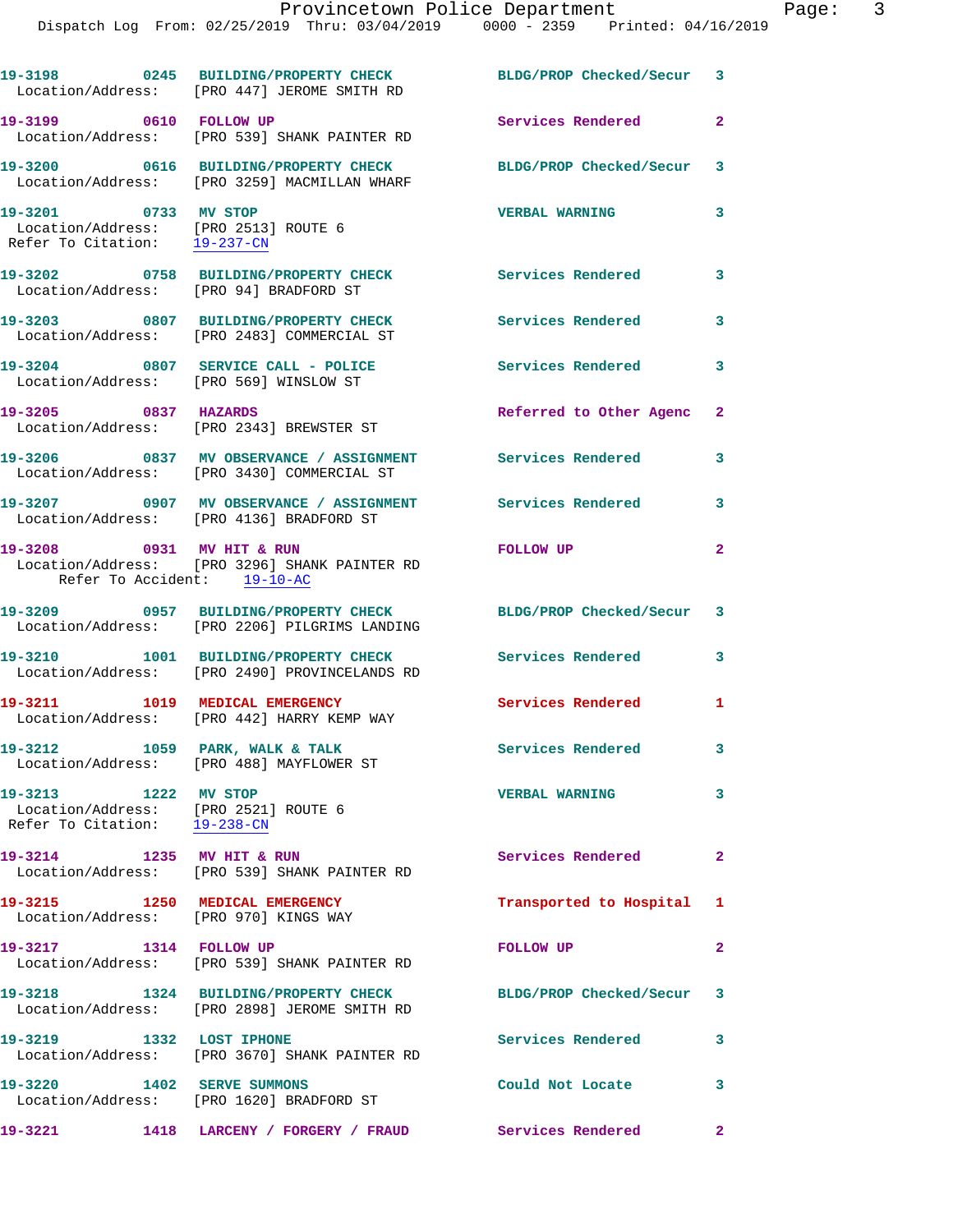|                                                                                                           | 19-3198 0245 BUILDING/PROPERTY CHECK BLDG/PROP Checked/Secur 3<br>Location/Address: [PRO 447] JEROME SMITH RD |                            |                         |
|-----------------------------------------------------------------------------------------------------------|---------------------------------------------------------------------------------------------------------------|----------------------------|-------------------------|
| 19-3199 0610 FOLLOW UP                                                                                    | Location/Address: [PRO 539] SHANK PAINTER RD                                                                  | Services Rendered          | $\overline{2}$          |
|                                                                                                           | 19-3200 0616 BUILDING/PROPERTY CHECK<br>Location/Address: [PRO 3259] MACMILLAN WHARF                          | BLDG/PROP Checked/Secur 3  |                         |
| 19-3201 0733 MV STOP<br>Location/Address: [PRO 2513] ROUTE 6<br>Refer To Citation: 19-237-CN              |                                                                                                               | <b>VERBAL WARNING</b>      | 3                       |
| Location/Address: [PRO 94] BRADFORD ST                                                                    | 19-3202 0758 BUILDING/PROPERTY CHECK                                                                          | Services Rendered          | $\overline{\mathbf{3}}$ |
|                                                                                                           | 19-3203 0807 BUILDING/PROPERTY CHECK<br>Location/Address: [PRO 2483] COMMERCIAL ST                            | <b>Services Rendered</b>   | 3                       |
| Location/Address: [PRO 569] WINSLOW ST                                                                    | 19-3204 0807 SERVICE CALL - POLICE                                                                            | <b>Services Rendered</b>   | 3                       |
| 19-3205 0837 HAZARDS                                                                                      | Location/Address: [PRO 2343] BREWSTER ST                                                                      | Referred to Other Agenc 2  |                         |
|                                                                                                           | 19-3206 6837 MV OBSERVANCE / ASSIGNMENT Services Rendered<br>Location/Address: [PRO 3430] COMMERCIAL ST       |                            | 3                       |
|                                                                                                           | 19-3207 		 0907 MV OBSERVANCE / ASSIGNMENT Services Rendered<br>Location/Address: [PRO 4136] BRADFORD ST      |                            | 3                       |
| Refer To Accident: 19-10-AC                                                                               | 19-3208 0931 MV HIT & RUN<br>Location/Address: [PRO 3296] SHANK PAINTER RD                                    | <b>FOLLOW UP</b>           | $\mathbf{2}$            |
|                                                                                                           | 19-3209 0957 BUILDING/PROPERTY CHECK<br>Location/Address: [PRO 2206] PILGRIMS LANDING                         | BLDG/PROP Checked/Secur 3  |                         |
|                                                                                                           | 19-3210 1001 BUILDING/PROPERTY CHECK<br>Location/Address: [PRO 2490] PROVINCELANDS RD                         | <b>Services Rendered</b>   | 3                       |
| 19-3211 1019 MEDICAL EMERGENCY                                                                            | Location/Address: [PRO 442] HARRY KEMP WAY                                                                    | <b>Services Rendered</b>   | $\mathbf{1}$            |
|                                                                                                           | 19-3212 1059 PARK, WALK & TALK<br>Location/Address: [PRO 488] MAYFLOWER ST                                    | Services Rendered          | 3                       |
| 19-3213 1222 MV STOP<br>Location/Address: [PRO 2521] ROUTE 6<br>Refer To Citation: $\frac{19-238-CN}{29}$ |                                                                                                               | <b>VERBAL WARNING</b>      | $\overline{\mathbf{3}}$ |
| 19-3214 1235 MV HIT & RUN                                                                                 | Location/Address: [PRO 539] SHANK PAINTER RD                                                                  | Services Rendered 2        |                         |
| 19-3215 1250 MEDICAL EMERGENCY<br>Location/Address: [PRO 970] KINGS WAY                                   |                                                                                                               | Transported to Hospital 1  |                         |
| 19-3217 1314 FOLLOW UP                                                                                    | Location/Address: [PRO 539] SHANK PAINTER RD                                                                  | <b>FOLLOW UP</b>           | $\overline{2}$          |
|                                                                                                           | 19-3218 1324 BUILDING/PROPERTY CHECK<br>Location/Address: [PRO 2898] JEROME SMITH RD                          | BLDG/PROP Checked/Secur 3  |                         |
| 19-3219 1332 LOST IPHONE                                                                                  | Location/Address: [PRO 3670] SHANK PAINTER RD                                                                 | <b>Services Rendered</b>   | 3                       |
| 19-3220 1402 SERVE SUMMONS                                                                                | Location/Address: [PRO 1620] BRADFORD ST                                                                      | Could Not Locate           | $\mathbf{3}$            |
| 19-3221                                                                                                   | 1418 LARCENY / FORGERY / FRAUD                                                                                | <b>Services Rendered</b> 2 |                         |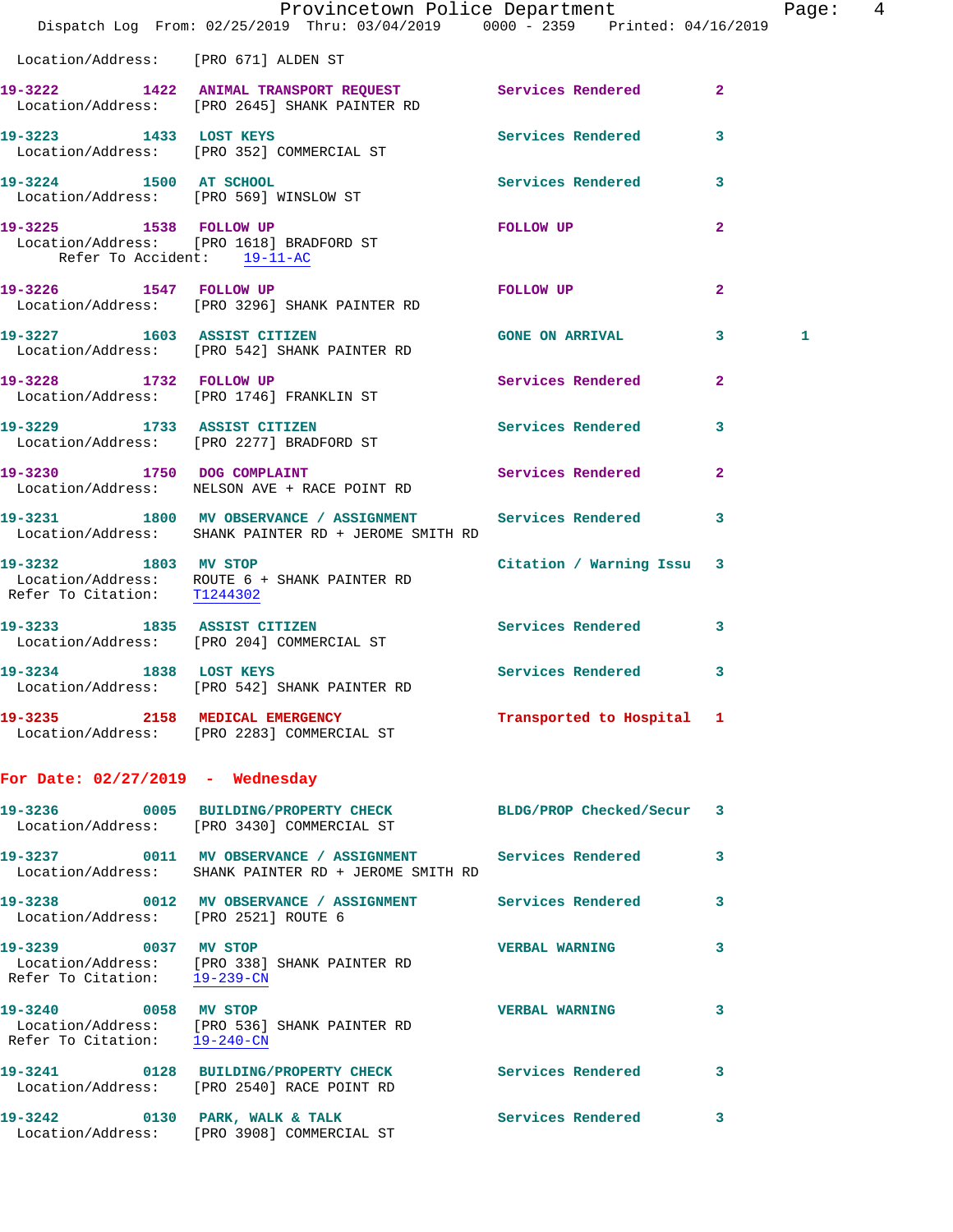|                                                      | Provincetown Police Department<br>Dispatch Log From: 02/25/2019 Thru: 03/04/2019 0000 - 2359 Printed: 04/16/2019                                                    |                           |                         | Page:  4 |  |
|------------------------------------------------------|---------------------------------------------------------------------------------------------------------------------------------------------------------------------|---------------------------|-------------------------|----------|--|
|                                                      |                                                                                                                                                                     |                           |                         |          |  |
| Location/Address: [PRO 671] ALDEN ST                 |                                                                                                                                                                     |                           |                         |          |  |
|                                                      | 19-3222 1422 ANIMAL TRANSPORT REQUEST Services Rendered 2<br>Location/Address: [PRO 2645] SHANK PAINTER RD                                                          |                           |                         |          |  |
|                                                      | 19-3223 1433 LOST KEYS<br>Location/Address: [PRO 352] COMMERCIAL ST                                                                                                 | Services Rendered         | $\overline{\mathbf{3}}$ |          |  |
| 19-3224 1500 AT SCHOOL                               | Location/Address: [PRO 569] WINSLOW ST                                                                                                                              | Services Rendered 3       |                         |          |  |
| Refer To Accident: 19-11-AC                          | 19-3225 1538 FOLLOW UP<br>Location/Address: [PRO 1618] BRADFORD ST                                                                                                  | FOLLOW UP                 | $\overline{a}$          |          |  |
|                                                      | 19-3226 1547 FOLLOW UP<br>Location/Address: [PRO 3296] SHANK PAINTER RD                                                                                             | FOLLOW UP                 | $\mathbf{2}$            |          |  |
|                                                      | 19-3227 1603 ASSIST CITIZEN<br>Location/Address: [PRO 542] SHANK PAINTER RD                                                                                         | GONE ON ARRIVAL 3         |                         | 1        |  |
|                                                      | 19-3228 1732 FOLLOW UP<br>Location/Address: [PRO 1746] FRANKLIN ST                                                                                                  | Services Rendered 2       |                         |          |  |
|                                                      | 19-3229 1733 ASSIST CITIZEN<br>Location/Address: [PRO 2277] BRADFORD ST                                                                                             | Services Rendered 3       |                         |          |  |
|                                                      | 19-3230 1750 DOG COMPLAINT<br>Location/Address: NELSON AVE + RACE POINT RD                                                                                          | <b>Services Rendered</b>  | $\overline{2}$          |          |  |
|                                                      | 19-3231 1800 MV OBSERVANCE / ASSIGNMENT Services Rendered 3<br>Location/Address: SHANK PAINTER RD + JEROME SMITH RD                                                 |                           |                         |          |  |
| 19-3232 1803 MV STOP                                 | $\begin{tabular}{lllll} \textbf{Location}/Address: & \textbf{ROUTE 6 + SHANK PAINTER RD} \\ \textbf{Refer To Citation:} & \underline{{\tt T}1244302} \end{tabular}$ | Citation / Warning Issu 3 |                         |          |  |
|                                                      | 19-3233 1835 ASSIST CITIZEN<br>Location/Address: [PRO 204] COMMERCIAL ST                                                                                            | <b>Services Rendered</b>  | 3                       |          |  |
|                                                      | 19-3234 1838 LOST KEYS 19-3234 Services Rendered 3<br>Location/Address: [PRO 542] SHANK PAINTER RD                                                                  |                           |                         |          |  |
|                                                      | 19-3235 2158 MEDICAL EMERGENCY<br>Location/Address: [PRO 2283] COMMERCIAL ST                                                                                        | Transported to Hospital 1 |                         |          |  |
| For Date: $02/27/2019$ - Wednesday                   |                                                                                                                                                                     |                           |                         |          |  |
|                                                      | 19-3236 0005 BUILDING/PROPERTY CHECK BLDG/PROP Checked/Secur 3<br>Location/Address: [PRO 3430] COMMERCIAL ST                                                        |                           |                         |          |  |
|                                                      | 19-3237 0011 MV OBSERVANCE / ASSIGNMENT Services Rendered<br>Location/Address: SHANK PAINTER RD + JEROME SMITH RD                                                   |                           | 3                       |          |  |
| Location/Address: [PRO 2521] ROUTE 6                 | 19-3238 0012 MV OBSERVANCE / ASSIGNMENT Services Rendered 3                                                                                                         |                           |                         |          |  |
| 19-3239 0037 MV STOP                                 | Location/Address: [PRO 338] SHANK PAINTER RD<br>Refer To Citation: $\frac{19-239-\text{CN}}{29-239-\text{CN}}}$                                                     | <b>VERBAL WARNING</b>     | 3                       |          |  |
| 19-3240 0058 MV STOP<br>Refer To Citation: 19-240-CN | Location/Address: [PRO 536] SHANK PAINTER RD                                                                                                                        | <b>VERBAL WARNING</b>     | 3                       |          |  |
|                                                      | 19-3241 0128 BUILDING/PROPERTY CHECK Services Rendered<br>Location/Address: [PRO 2540] RACE POINT RD                                                                |                           | 3                       |          |  |
|                                                      | 19-3242 0130 PARK, WALK & TALK<br>Location/Address: [PRO 3908] COMMERCIAL ST                                                                                        | <b>Services Rendered</b>  | 3                       |          |  |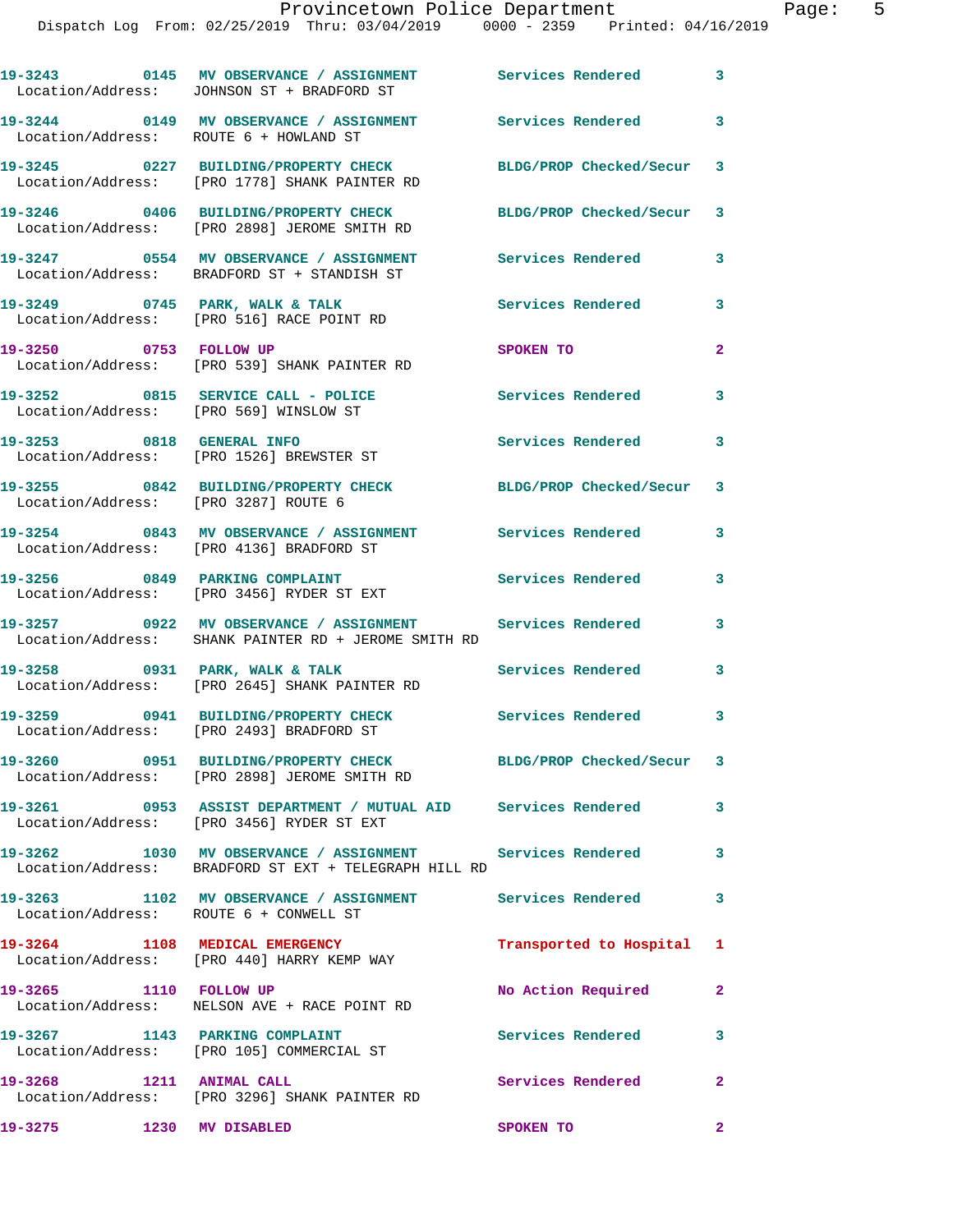|                                        | 19-3243 0145 MV OBSERVANCE / ASSIGNMENT Services Rendered 3<br>Location/Address: JOHNSON ST + BRADFORD ST            |                              |                            |
|----------------------------------------|----------------------------------------------------------------------------------------------------------------------|------------------------------|----------------------------|
| Location/Address: ROUTE 6 + HOWLAND ST | 19-3244 0149 MV OBSERVANCE / ASSIGNMENT Services Rendered                                                            |                              | $\overline{\phantom{a}}$ 3 |
|                                        | 19-3245 0227 BUILDING/PROPERTY CHECK<br>Location/Address: [PRO 1778] SHANK PAINTER RD                                | BLDG/PROP Checked/Secur 3    |                            |
|                                        | 19-3246 0406 BUILDING/PROPERTY CHECK<br>Location/Address: [PRO 2898] JEROME SMITH RD                                 | BLDG/PROP Checked/Secur 3    |                            |
|                                        | 19-3247 0554 MV OBSERVANCE / ASSIGNMENT<br>Location/Address: BRADFORD ST + STANDISH ST                               | Services Rendered            | 3                          |
|                                        | 19-3249 0745 PARK, WALK & TALK<br>Location/Address: [PRO 516] RACE POINT RD                                          | Services Rendered 3          |                            |
|                                        | 19-3250 0753 FOLLOW UP<br>Location/Address: [PRO 539] SHANK PAINTER RD                                               | SPOKEN TO                    | $\mathbf{2}$               |
| Location/Address: [PRO 569] WINSLOW ST | 19-3252 0815 SERVICE CALL - POLICE                                                                                   | Services Rendered 3          |                            |
|                                        | 19-3253 0818 GENERAL INFO<br>Location/Address: [PRO 1526] BREWSTER ST                                                | <b>Services Rendered</b>     | 3                          |
| Location/Address: [PRO 3287] ROUTE 6   | 19-3255 0842 BUILDING/PROPERTY CHECK BLDG/PROP Checked/Secur 3                                                       |                              |                            |
|                                        | 19-3254 0843 MV OBSERVANCE / ASSIGNMENT<br>Location/Address: [PRO 4136] BRADFORD ST                                  | Services Rendered            | 3                          |
| 19-3256 0849 PARKING COMPLAINT         | Location/Address: [PRO 3456] RYDER ST EXT                                                                            | Services Rendered            | 3                          |
|                                        | 19-3257 0922 MV OBSERVANCE / ASSIGNMENT Services Rendered<br>Location/Address: SHANK PAINTER RD + JEROME SMITH RD    |                              | 3                          |
| 19-3258 0931 PARK, WALK & TALK         | Location/Address: [PRO 2645] SHANK PAINTER RD                                                                        | <b>Services Rendered</b>     | 3                          |
|                                        | 19-3259 0941 BUILDING/PROPERTY CHECK<br>Location/Address: [PRO 2493] BRADFORD ST                                     | Services Rendered 3          |                            |
|                                        | 19-3260 0951 BUILDING/PROPERTY CHECK BLDG/PROP Checked/Secur 3<br>Location/Address: [PRO 2898] JEROME SMITH RD       |                              |                            |
|                                        | 19-3261 0953 ASSIST DEPARTMENT / MUTUAL AID Services Rendered<br>Location/Address: [PRO 3456] RYDER ST EXT           |                              | 3                          |
|                                        | 19-3262 1030 MV OBSERVANCE / ASSIGNMENT Services Rendered 3<br>Location/Address: BRADFORD ST EXT + TELEGRAPH HILL RD |                              |                            |
| Location/Address: ROUTE 6 + CONWELL ST | 19-3263 1102 MV OBSERVANCE / ASSIGNMENT                                                                              | <b>Services Rendered</b>     | 3                          |
|                                        | 19-3264 1108 MEDICAL EMERGENCY<br>Location/Address: [PRO 440] HARRY KEMP WAY                                         | Transported to Hospital 1    |                            |
| 19-3265 1110 FOLLOW UP                 | Location/Address: NELSON AVE + RACE POINT RD                                                                         | No Action Required           | $\mathbf{2}$               |
| 19-3267 1143 PARKING COMPLAINT         | Location/Address: [PRO 105] COMMERCIAL ST                                                                            | Services Rendered 3          |                            |
| 19-3268 1211 ANIMAL CALL               | Location/Address: [PRO 3296] SHANK PAINTER RD                                                                        | Services Rendered 2          |                            |
| 19-3275 1230 MV DISABLED               |                                                                                                                      | <b>SPOKEN TO</b><br>$\sim$ 2 |                            |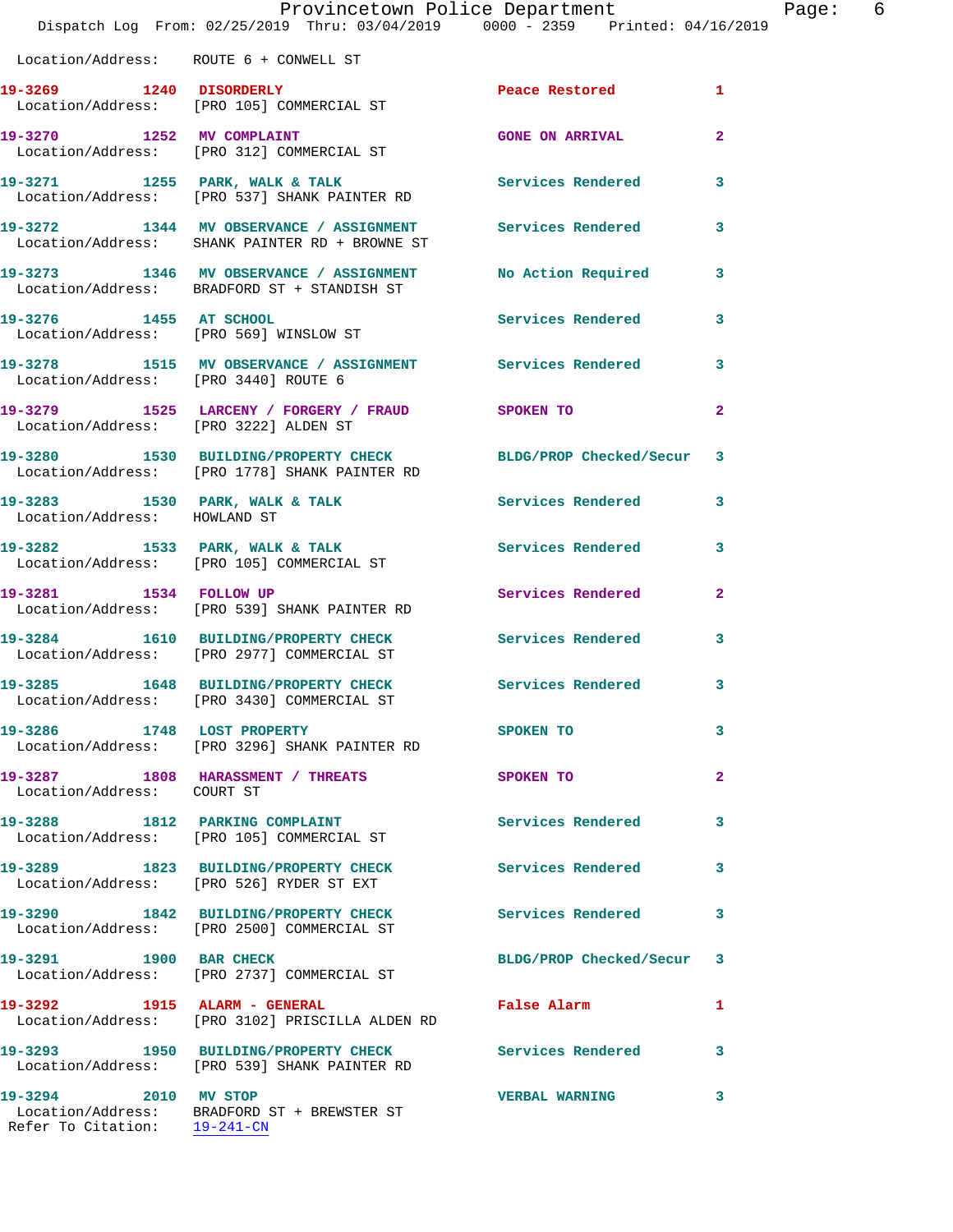|                                        | Provincetown Police Department<br>Dispatch Log From: 02/25/2019 Thru: 03/04/2019 0000 - 2359 Printed: 04/16/2019 |                          |                |
|----------------------------------------|------------------------------------------------------------------------------------------------------------------|--------------------------|----------------|
| Location/Address: ROUTE 6 + CONWELL ST |                                                                                                                  |                          |                |
| 19-3269 1240 DISORDERLY                | Location/Address: [PRO 105] COMMERCIAL ST                                                                        | Peace Restored           | 1              |
|                                        | 19-3270 1252 MV COMPLAINT<br>Location/Address: [PRO 312] COMMERCIAL ST                                           | <b>GONE ON ARRIVAL</b>   | $\mathbf{2}$   |
|                                        | 19-3271 1255 PARK, WALK & TALK<br>Location/Address: [PRO 537] SHANK PAINTER RD                                   | <b>Services Rendered</b> | 3              |
|                                        | 19-3272 1344 MV OBSERVANCE / ASSIGNMENT<br>Location/Address: SHANK PAINTER RD + BROWNE ST                        | <b>Services Rendered</b> | 3              |
|                                        | 19-3273 1346 MV OBSERVANCE / ASSIGNMENT<br>Location/Address: BRADFORD ST + STANDISH ST                           | No Action Required       | 3              |
| 19-3276 1455 AT SCHOOL                 | Location/Address: [PRO 569] WINSLOW ST                                                                           | Services Rendered        | 3              |
| Location/Address: [PRO 3440] ROUTE 6   | 19-3278 1515 MV OBSERVANCE / ASSIGNMENT Services Rendered                                                        |                          | 3              |
| Location/Address: [PRO 3222] ALDEN ST  | 19-3279 1525 LARCENY / FORGERY / FRAUD                                                                           | SPOKEN TO                | $\overline{a}$ |
|                                        | 19-3280 1530 BUILDING/PROPERTY CHECK BLDG/PROP Checked/Secur<br>Location/Address: [PRO 1778] SHANK PAINTER RD    |                          | 3              |
| Location/Address: HOWLAND ST           | 19-3283 1530 PARK, WALK & TALK                                                                                   | <b>Services Rendered</b> | 3              |
|                                        | 19-3282 1533 PARK, WALK & TALK<br>Location/Address: [PRO 105] COMMERCIAL ST                                      | Services Rendered        | 3              |
|                                        | 19-3281 1534 FOLLOW UP<br>Location/Address: [PRO 539] SHANK PAINTER RD                                           | Services Rendered        | $\mathbf{2}$   |
|                                        | 19-3284 1610 BUILDING/PROPERTY CHECK<br>Location/Address: [PRO 2977] COMMERCIAL ST                               | <b>Services Rendered</b> | 3              |
|                                        | 19-3285 1648 BUILDING/PROPERTY CHECK Services Rendered<br>Location/Address: [PRO 3430] COMMERCIAL ST             |                          | 3              |
| 19-3286 1748 LOST PROPERTY             | Location/Address: [PRO 3296] SHANK PAINTER RD                                                                    | <b>SPOKEN TO</b>         | 3              |
| Location/Address: COURT ST             | 19-3287 1808 HARASSMENT / THREATS                                                                                | SPOKEN TO                | $\overline{a}$ |
|                                        | 19-3288 1812 PARKING COMPLAINT<br>Location/Address: [PRO 105] COMMERCIAL ST                                      | Services Rendered        | 3              |
|                                        | 19-3289 1823 BUILDING/PROPERTY CHECK Services Rendered<br>Location/Address: [PRO 526] RYDER ST EXT               |                          | 3              |
|                                        | 19-3290 1842 BUILDING/PROPERTY CHECK Services Rendered<br>Location/Address: [PRO 2500] COMMERCIAL ST             |                          | 3              |
| 19-3291 1900 BAR CHECK                 | Location/Address: [PRO 2737] COMMERCIAL ST                                                                       | BLDG/PROP Checked/Secur  | 3              |
| 19-3292 1915 ALARM - GENERAL           | Location/Address: [PRO 3102] PRISCILLA ALDEN RD                                                                  | False Alarm              | 1              |
|                                        | 19-3293 1950 BUILDING/PROPERTY CHECK<br>Location/Address: [PRO 539] SHANK PAINTER RD                             | <b>Services Rendered</b> | 3              |
| 19-3294 2010 MV STOP                   | Location/Address: BRADFORD ST + BREWSTER ST                                                                      | <b>VERBAL WARNING</b>    | 3              |

Refer To Citation: 19-241-CN

Page: 6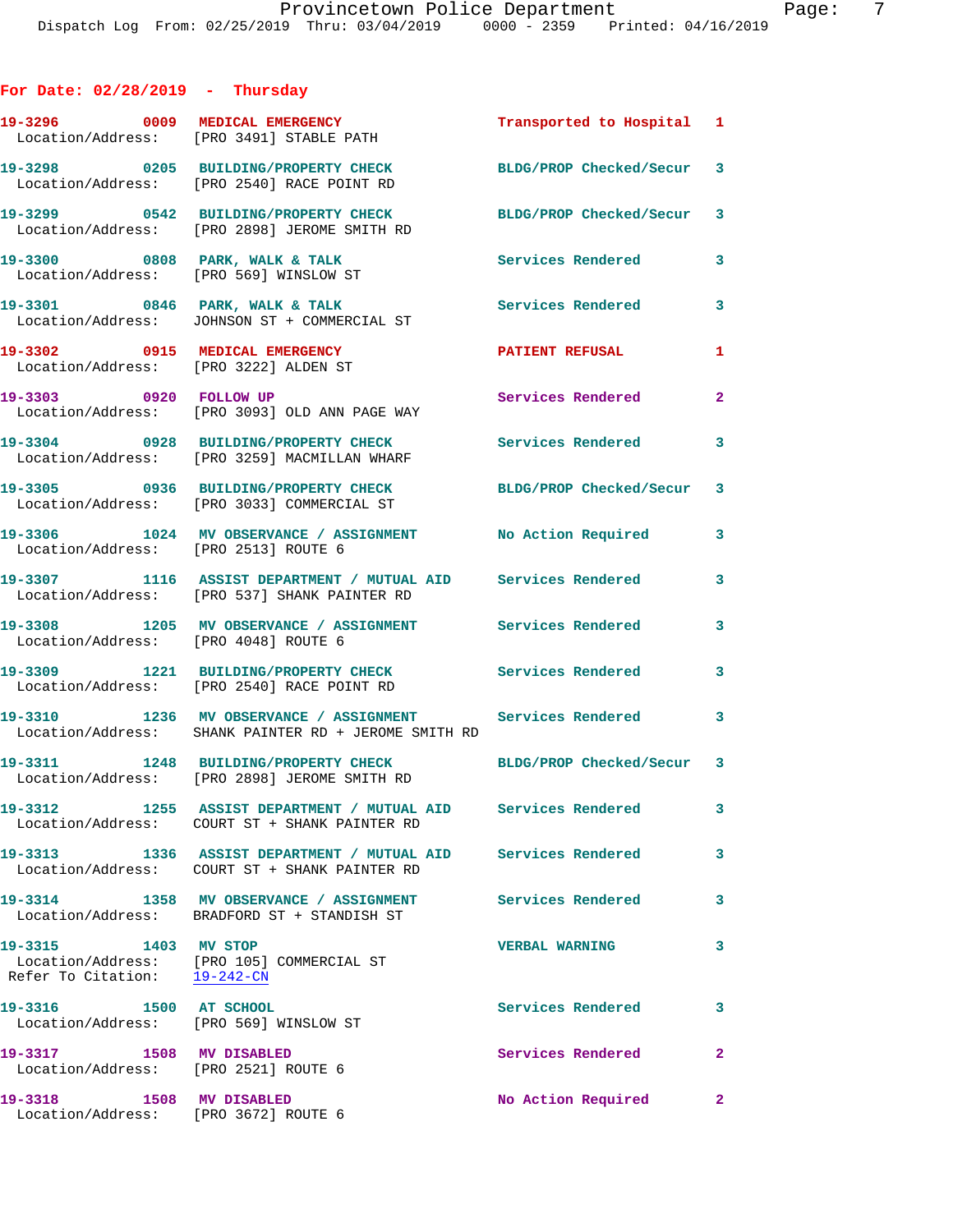## **For Date: 02/28/2019 - Thursday**

|                                                                     | 19-3296 0009 MEDICAL EMERGENCY<br>Location/Address: [PRO 3491] STABLE PATH                                     | Transported to Hospital 1 |                         |
|---------------------------------------------------------------------|----------------------------------------------------------------------------------------------------------------|---------------------------|-------------------------|
|                                                                     | 19-3298 0205 BUILDING/PROPERTY CHECK<br>Location/Address: [PRO 2540] RACE POINT RD                             | BLDG/PROP Checked/Secur 3 |                         |
|                                                                     | 19-3299 0542 BUILDING/PROPERTY CHECK<br>Location/Address: [PRO 2898] JEROME SMITH RD                           | BLDG/PROP Checked/Secur 3 |                         |
|                                                                     | 19-3300 0808 PARK, WALK & TALK<br>Location/Address: [PRO 569] WINSLOW ST                                       | Services Rendered         | 3                       |
|                                                                     | 19-3301 0846 PARK, WALK & TALK<br>Location/Address: JOHNSON ST + COMMERCIAL ST                                 | Services Rendered         | 3                       |
| 19-3302 0915 MEDICAL EMERGENCY                                      | Location/Address: [PRO 3222] ALDEN ST                                                                          | <b>PATIENT REFUSAL</b>    | 1                       |
| 19-3303 0920 FOLLOW UP                                              | Location/Address: [PRO 3093] OLD ANN PAGE WAY                                                                  | Services Rendered         | $\mathbf{2}$            |
|                                                                     | 19-3304 0928 BUILDING/PROPERTY CHECK<br>Location/Address: [PRO 3259] MACMILLAN WHARF                           | Services Rendered 3       |                         |
|                                                                     | 19-3305 0936 BUILDING/PROPERTY CHECK<br>Location/Address: [PRO 3033] COMMERCIAL ST                             | BLDG/PROP Checked/Secur   | 3                       |
| Location/Address: [PRO 2513] ROUTE 6                                | 19-3306 1024 MV OBSERVANCE / ASSIGNMENT No Action Required                                                     |                           | 3                       |
|                                                                     | 19-3307 1116 ASSIST DEPARTMENT / MUTUAL AID Services Rendered<br>Location/Address: [PRO 537] SHANK PAINTER RD  |                           | 3                       |
| Location/Address: [PRO 4048] ROUTE 6                                | 19-3308 1205 MV OBSERVANCE / ASSIGNMENT Services Rendered                                                      |                           | 3                       |
|                                                                     | 19-3309 1221 BUILDING/PROPERTY CHECK Services Rendered<br>Location/Address: [PRO 2540] RACE POINT RD           |                           | 3                       |
|                                                                     | 19-3310 1236 MV OBSERVANCE / ASSIGNMENT<br>Location/Address: SHANK PAINTER RD + JEROME SMITH RD                | Services Rendered 3       |                         |
|                                                                     | 19-3311 1248 BUILDING/PROPERTY CHECK BLDG/PROP Checked/Secur 3<br>Location/Address: [PRO 2898] JEROME SMITH RD |                           |                         |
|                                                                     | 19-3312 1255 ASSIST DEPARTMENT / MUTUAL AID Services Rendered<br>Location/Address: COURT ST + SHANK PAINTER RD |                           |                         |
|                                                                     | 19-3313 1336 ASSIST DEPARTMENT / MUTUAL AID Services Rendered<br>Location/Address: COURT ST + SHANK PAINTER RD |                           | 3                       |
|                                                                     | 19-3314 1358 MV OBSERVANCE / ASSIGNMENT<br>Location/Address: BRADFORD ST + STANDISH ST                         | <b>Services Rendered</b>  | $\overline{\mathbf{3}}$ |
| 19-3315 1403 MV STOP                                                | Location/Address: [PRO 105] COMMERCIAL ST<br>Refer To Citation: 19-242-CN                                      | <b>VERBAL WARNING</b>     | 3                       |
| 1500 AT SCHOOL<br>19-3316<br>Location/Address: [PRO 569] WINSLOW ST |                                                                                                                | Services Rendered 3       |                         |
| 19-3317 1508 MV DISABLED<br>Location/Address: [PRO 2521] ROUTE 6    |                                                                                                                | Services Rendered         | $\mathbf{2}$            |
| 19-3318 1508 MV DISABLED<br>Location/Address: [PRO 3672] ROUTE 6    |                                                                                                                | No Action Required        | $\mathbf{2}$            |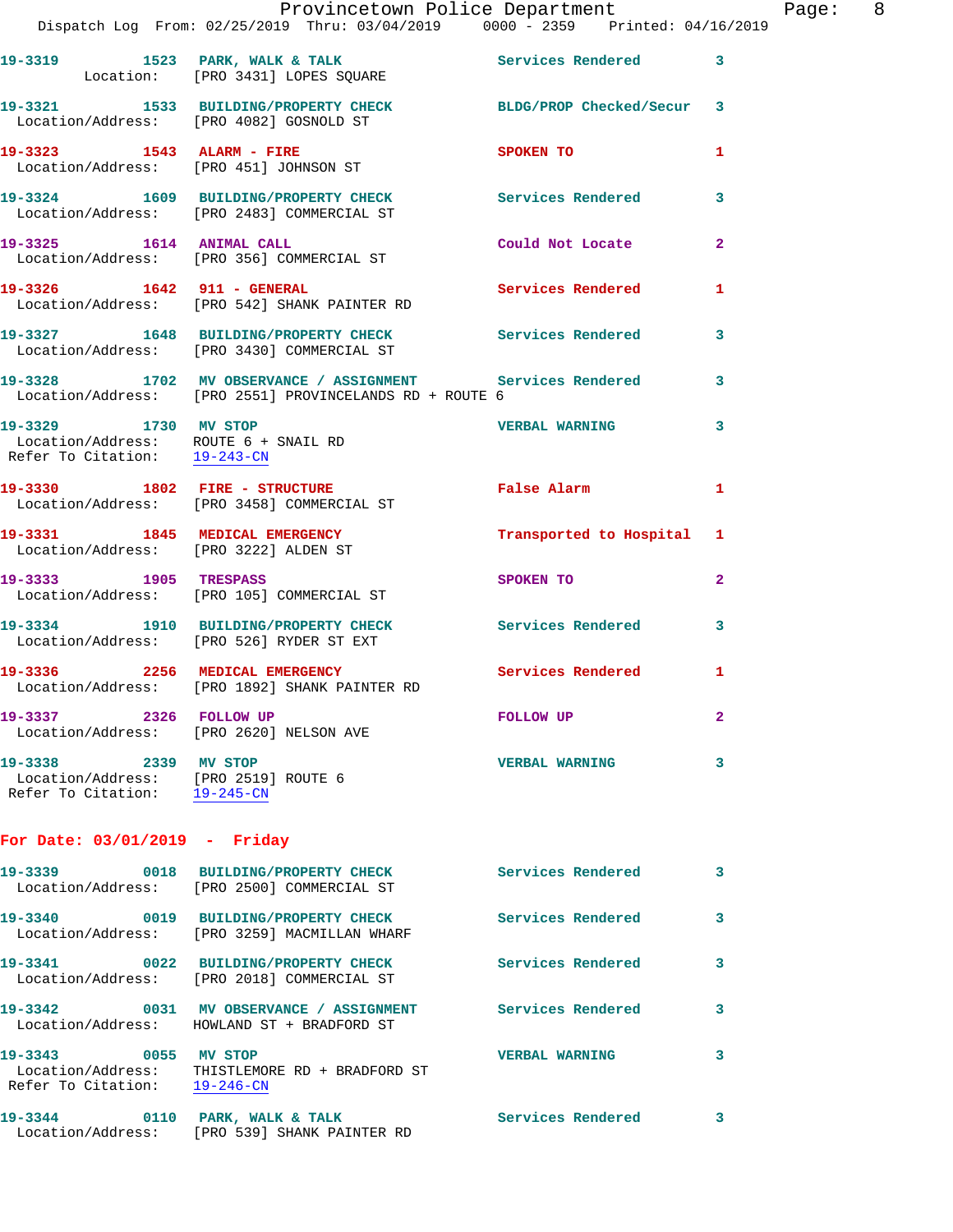|                                                                                              | Provincetown Police Department Fage: 8<br>Dispatch Log From: 02/25/2019 Thru: 03/04/2019 0000 - 2359 Printed: 04/16/2019 |                                                      |              |  |
|----------------------------------------------------------------------------------------------|--------------------------------------------------------------------------------------------------------------------------|------------------------------------------------------|--------------|--|
|                                                                                              | 19-3319 1523 PARK, WALK & TALK 1997 Services Rendered 3<br>Location: [PRO 3431] LOPES SQUARE                             |                                                      |              |  |
|                                                                                              | 19-3321 1533 BUILDING/PROPERTY CHECK BLDG/PROP Checked/Secur 3<br>Location/Address: [PRO 4082] GOSNOLD ST                |                                                      |              |  |
|                                                                                              | 19-3323 1543 ALARM - FIRE<br>Location/Address: [PRO 451] JOHNSON ST                                                      | SPOKEN TO AND TO A REAL PROPERTY OF A REAL PROPERTY. | $\mathbf{1}$ |  |
|                                                                                              | 19-3324 1609 BUILDING/PROPERTY CHECK Services Rendered 3<br>Location/Address: [PRO 2483] COMMERCIAL ST                   |                                                      |              |  |
|                                                                                              | 19-3325 1614 ANIMAL CALL<br>Location/Address: [PRO 356] COMMERCIAL ST                                                    | Could Not Locate 2                                   |              |  |
|                                                                                              | 19-3326 1642 911 - GENERAL 19 Services Rendered 1<br>Location/Address: [PRO 542] SHANK PAINTER RD                        |                                                      |              |  |
|                                                                                              | 19-3327 1648 BUILDING/PROPERTY CHECK Services Rendered 3<br>Location/Address: [PRO 3430] COMMERCIAL ST                   |                                                      |              |  |
|                                                                                              | 19-3328 1702 MV OBSERVANCE / ASSIGNMENT Services Rendered 3<br>Location/Address: [PRO 2551] PROVINCELANDS RD + ROUTE 6   |                                                      |              |  |
| 19-3329 1730 MV STOP                                                                         | Location/Address: ROUTE $6 +$ SNAIL RD<br>Refer To Citation: $\frac{19-243-CN}{2}$                                       | <b>VERBAL WARNING 3</b>                              |              |  |
|                                                                                              | 19-3330 1802 FIRE - STRUCTURE 1 Palse Alarm 1<br>Location/Address: [PRO 3458] COMMERCIAL ST                              |                                                      |              |  |
|                                                                                              | 19-3331 1845 MEDICAL EMERGENCY Transported to Hospital 1<br>Location/Address: [PRO 3222] ALDEN ST                        |                                                      |              |  |
|                                                                                              | 19-3333 1905 TRESPASS<br>Location/Address: [PRO 105] COMMERCIAL ST                                                       | SPOKEN TO                                            | $\mathbf{2}$ |  |
|                                                                                              | 19-3334 1910 BUILDING/PROPERTY CHECK Services Rendered<br>Location/Address: [PRO 526] RYDER ST EXT                       |                                                      | $\mathbf{3}$ |  |
|                                                                                              | 19-3336 2256 MEDICAL EMERGENCY Services Rendered 1<br>Location/Address: [PRO 1892] SHANK PAINTER RD                      |                                                      |              |  |
| 19-3337 2326 FOLLOW UP                                                                       | Location/Address: [PRO 2620] NELSON AVE                                                                                  | FOLLOW UP                                            | $\mathbf{2}$ |  |
| 19-3338 2339 MV STOP<br>Location/Address: [PRO 2519] ROUTE 6<br>Refer To Citation: 19-245-CN |                                                                                                                          | <b>VERBAL WARNING</b>                                | 3            |  |
| For Date: $03/01/2019$ - Friday                                                              |                                                                                                                          |                                                      |              |  |
|                                                                                              | 19-3339 0018 BUILDING/PROPERTY CHECK<br>Location/Address: [PRO 2500] COMMERCIAL ST                                       | Services Rendered                                    | 3            |  |
|                                                                                              | 19-3340 0019 BUILDING/PROPERTY CHECK Services Rendered<br>Location/Address: [PRO 3259] MACMILLAN WHARF                   |                                                      | 3            |  |
|                                                                                              | 19-3341 0022 BUILDING/PROPERTY CHECK<br>Location/Address: [PRO 2018] COMMERCIAL ST                                       | Services Rendered                                    | 3            |  |
|                                                                                              | 19-3342 0031 MV OBSERVANCE / ASSIGNMENT Services Rendered<br>Location/Address: HOWLAND ST + BRADFORD ST                  |                                                      | 3            |  |
| 19-3343 0055 MV STOP<br>Refer To Citation: 19-246-CN                                         | Location/Address: THISTLEMORE RD + BRADFORD ST                                                                           | <b>VERBAL WARNING</b>                                | 3            |  |
| 19-3344 0110 PARK, WALK & TALK                                                               |                                                                                                                          | Services Rendered 3                                  |              |  |

Location/Address: [PRO 539] SHANK PAINTER RD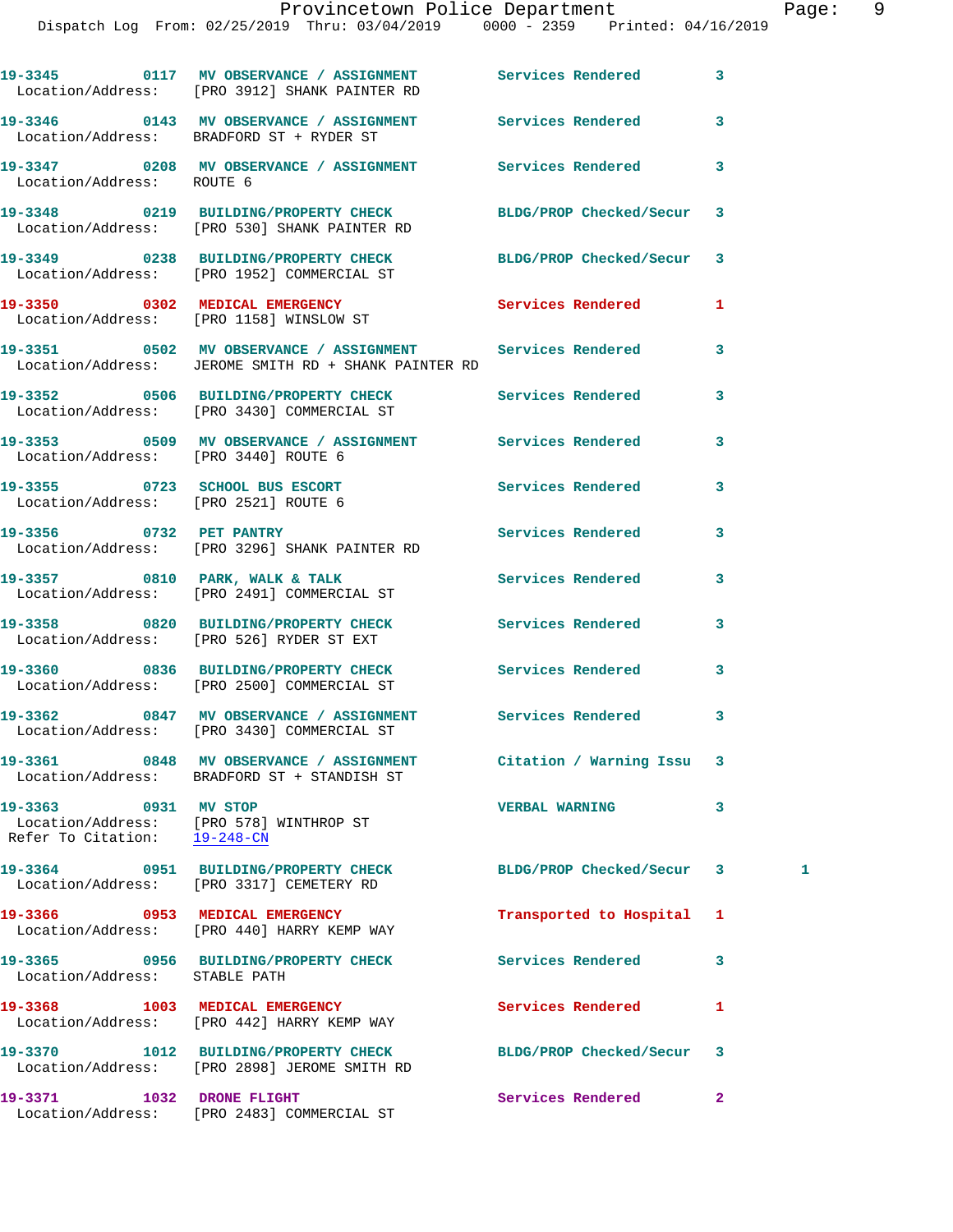Location/Address: BRADFORD ST + RYDER ST

**19-3347 0208 MV OBSERVANCE / ASSIGNMENT Services Rendered 3**  Location/Address: ROUTE 6

Location/Address: [PRO 530] SHANK PAINTER RD

Location/Address: [PRO 2521] ROUTE 6

Location/Address: BRADFORD ST + STANDISH ST

**19-3363 0931 MV STOP VERBAL WARNING 3**  Location/Address: [PRO 578] WINTHROP ST<br>Refer To Citation: 19-248-CN Refer To Citation:

**19-3366 0953 MEDICAL EMERGENCY Transported to Hospital 1** 

**19-3365 0956 BUILDING/PROPERTY CHECK Services Rendered 3** 

Location/Address: [PRO 442] HARRY KEMP WAY

**19-3370 1012 BUILDING/PROPERTY CHECK BLDG/PROP Checked/Secur 3**  Location/Address: [PRO 2898] JEROME SMITH RD

**19-3371 1032 DRONE FLIGHT Services Rendered 2**  Location/Address: [PRO 2483] COMMERCIAL ST

**19-3346 0143 MV OBSERVANCE / ASSIGNMENT Services Rendered 3** 

**19-3348 0219 BUILDING/PROPERTY CHECK BLDG/PROP Checked/Secur 3** 

**19-3349 0238 BUILDING/PROPERTY CHECK BLDG/PROP Checked/Secur 3**  Location/Address: [PRO 1952] COMMERCIAL ST

**19-3350** 0302 MEDICAL EMERGENCY Services Rendered 1 Location/Address: [PRO 1158] WINSLOW ST

**19-3351 0502 MV OBSERVANCE / ASSIGNMENT Services Rendered 3**  Location/Address: JEROME SMITH RD + SHANK PAINTER RD

**19-3352 0506 BUILDING/PROPERTY CHECK Services Rendered 3**  Location/Address: [PRO 3430] COMMERCIAL ST

**19-3353 0509 MV OBSERVANCE / ASSIGNMENT Services Rendered 3**  Location/Address: [PRO 3440] ROUTE 6

**19-3355 0723 SCHOOL BUS ESCORT Services Rendered 3** 

**19-3356 0732 PET PANTRY Services Rendered 3**  Location/Address: [PRO 3296] SHANK PAINTER RD

**19-3357 0810 PARK, WALK & TALK Services Rendered 3**  Location/Address: [PRO 2491] COMMERCIAL ST

**19-3358 0820 BUILDING/PROPERTY CHECK Services Rendered 3**  Location/Address: [PRO 526] RYDER ST EXT

**19-3360 0836 BUILDING/PROPERTY CHECK Services Rendered 3**  Location/Address: [PRO 2500] COMMERCIAL ST

**19-3362 0847 MV OBSERVANCE / ASSIGNMENT Services Rendered 3**  Location/Address: [PRO 3430] COMMERCIAL ST

**19-3361 0848 MV OBSERVANCE / ASSIGNMENT Citation / Warning Issu 3** 

**19-3364 0951 BUILDING/PROPERTY CHECK BLDG/PROP Checked/Secur 3 1**  Location/Address: [PRO 3317] CEMETERY RD

Location/Address: [PRO 440] HARRY KEMP WAY

Location/Address: STABLE PATH

**19-3368 1003 MEDICAL EMERGENCY Services Rendered 1**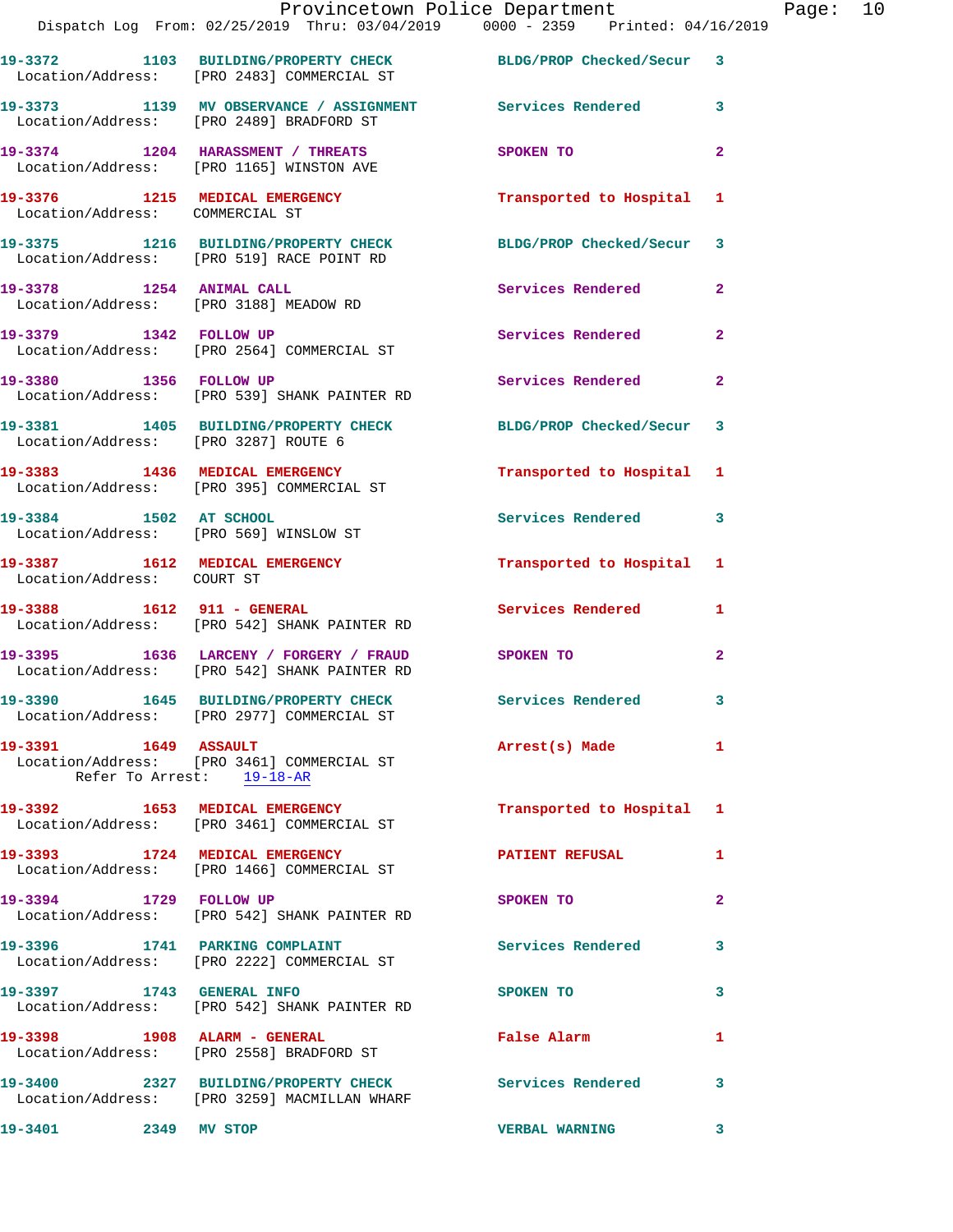|                                                              | Provincetown Police Department<br>Dispatch Log From: 02/25/2019 Thru: 03/04/2019 0000 - 2359 Printed: 04/16/2019 |                          |              |
|--------------------------------------------------------------|------------------------------------------------------------------------------------------------------------------|--------------------------|--------------|
|                                                              | 19-3372 1103 BUILDING/PROPERTY CHECK BLDG/PROP Checked/Secur 3<br>Location/Address: [PRO 2483] COMMERCIAL ST     |                          |              |
|                                                              | 19-3373 1139 MV OBSERVANCE / ASSIGNMENT Services Rendered<br>Location/Address: [PRO 2489] BRADFORD ST            |                          | 3            |
|                                                              | 19-3374 1204 HARASSMENT / THREATS<br>Location/Address: [PRO 1165] WINSTON AVE                                    | SPOKEN TO                | $\mathbf{2}$ |
| Location/Address: COMMERCIAL ST                              | 19-3376 1215 MEDICAL EMERGENCY                                                                                   | Transported to Hospital  | 1            |
|                                                              | 19-3375 1216 BUILDING/PROPERTY CHECK BLDG/PROP Checked/Secur<br>Location/Address: [PRO 519] RACE POINT RD        |                          | 3            |
| 19-3378 1254 ANIMAL CALL                                     | Location/Address: [PRO 3188] MEADOW RD                                                                           | Services Rendered        | $\mathbf{2}$ |
|                                                              | 19-3379 1342 FOLLOW UP<br>Location/Address: [PRO 2564] COMMERCIAL ST                                             | <b>Services Rendered</b> | $\mathbf{2}$ |
| 19-3380 1356 FOLLOW UP                                       | Location/Address: [PRO 539] SHANK PAINTER RD                                                                     | Services Rendered        | $\mathbf{2}$ |
| Location/Address: [PRO 3287] ROUTE 6                         | 19-3381 1405 BUILDING/PROPERTY CHECK                                                                             | BLDG/PROP Checked/Secur  | 3            |
|                                                              | 19-3383 1436 MEDICAL EMERGENCY<br>Location/Address: [PRO 395] COMMERCIAL ST                                      | Transported to Hospital  | 1            |
| 19-3384 1502 AT SCHOOL                                       | Location/Address: [PRO 569] WINSLOW ST                                                                           | Services Rendered        | 3            |
| 19-3387 1612 MEDICAL EMERGENCY<br>Location/Address: COURT ST |                                                                                                                  | Transported to Hospital  | 1            |
|                                                              | Location/Address: [PRO 542] SHANK PAINTER RD                                                                     | <b>Services Rendered</b> | 1            |
|                                                              | 19-3395 1636 LARCENY / FORGERY / FRAUD SPOKEN TO<br>Location/Address: [PRO 542] SHANK PAINTER RD                 |                          | 2            |
|                                                              | 19-3390 1645 BUILDING/PROPERTY CHECK<br>Location/Address: [PRO 2977] COMMERCIAL ST                               | Services Rendered        | 3            |
| 19-3391 1649 ASSAULT                                         | Location/Address: [PRO 3461] COMMERCIAL ST<br>Refer To Arrest: 19-18-AR                                          | Arrest(s) Made           | 1            |
|                                                              | 19-3392 1653 MEDICAL EMERGENCY<br>Location/Address: [PRO 3461] COMMERCIAL ST                                     | Transported to Hospital  | 1            |
|                                                              | 19-3393 1724 MEDICAL EMERGENCY<br>Location/Address: [PRO 1466] COMMERCIAL ST                                     | <b>PATIENT REFUSAL</b>   | 1            |
| 19-3394 1729 FOLLOW UP                                       | Location/Address: [PRO 542] SHANK PAINTER RD                                                                     | <b>SPOKEN TO</b>         | 2            |
|                                                              | 19-3396 1741 PARKING COMPLAINT<br>Location/Address: [PRO 2222] COMMERCIAL ST                                     | <b>Services Rendered</b> | 3            |
| 19-3397 1743 GENERAL INFO                                    | Location/Address: [PRO 542] SHANK PAINTER RD                                                                     | <b>SPOKEN TO</b>         | 3            |
|                                                              | 19-3398 1908 ALARM - GENERAL<br>Location/Address: [PRO 2558] BRADFORD ST                                         | False Alarm              | 1            |
|                                                              | 19-3400 2327 BUILDING/PROPERTY CHECK Services Rendered<br>Location/Address: [PRO 3259] MACMILLAN WHARF           |                          | 3            |
| 19-3401 2349 MV STOP                                         |                                                                                                                  | <b>VERBAL WARNING</b>    | 3.           |

Page:  $10$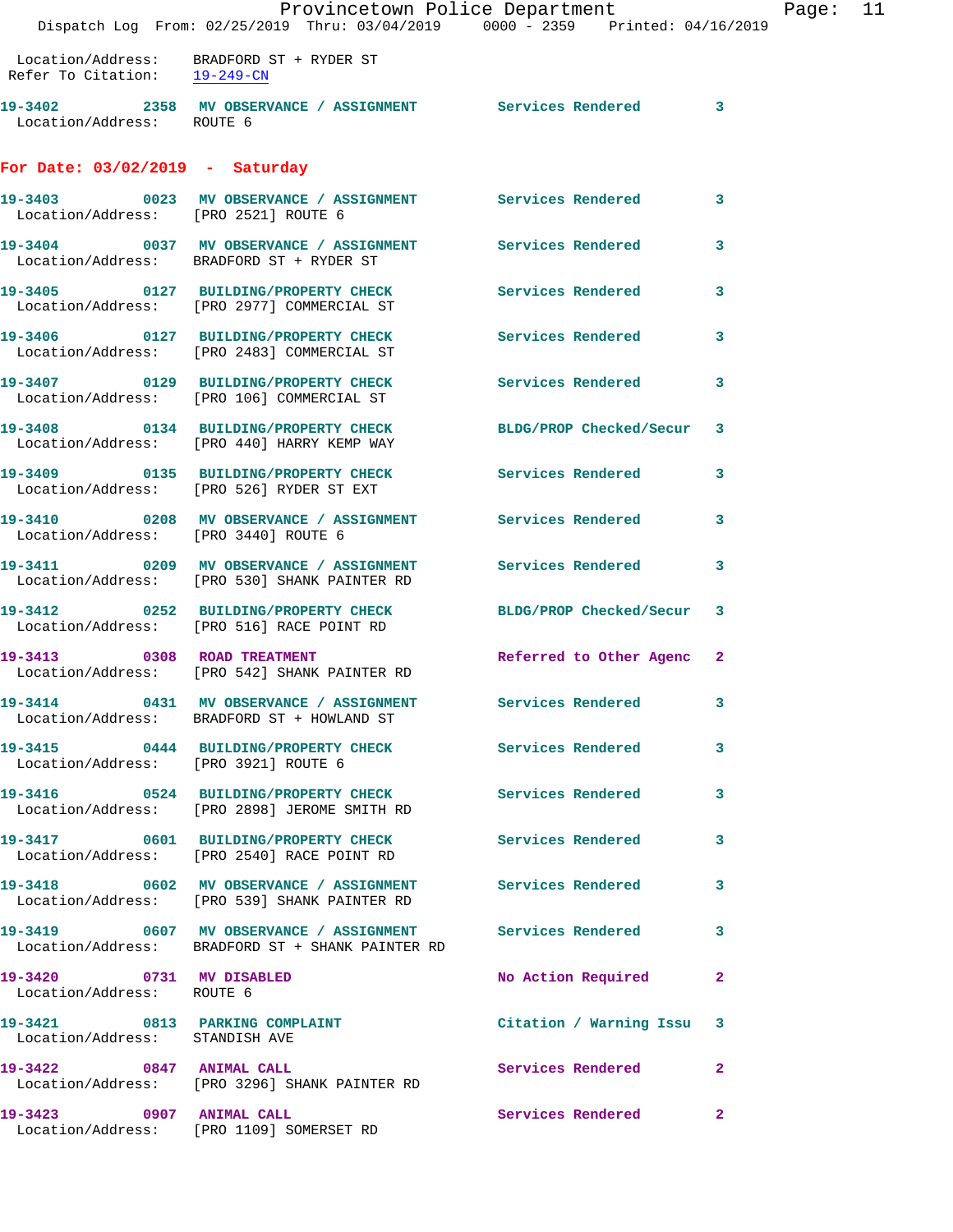|                                                                  | Provincetown Police Department<br>Dispatch Log From: 02/25/2019 Thru: 03/04/2019 0000 - 2359 Printed: 04/16/2019 |                          |                |
|------------------------------------------------------------------|------------------------------------------------------------------------------------------------------------------|--------------------------|----------------|
| Refer To Citation: $\frac{19-249-CN}{ }$                         | Location/Address: BRADFORD ST + RYDER ST                                                                         |                          |                |
| Location/Address: ROUTE 6                                        | 19-3402 2358 MV OBSERVANCE / ASSIGNMENT Services Rendered                                                        |                          | 3              |
| For Date: $03/02/2019$ - Saturday                                |                                                                                                                  |                          |                |
| Location/Address: [PRO 2521] ROUTE 6                             | 19-3403  0023 MV OBSERVANCE / ASSIGNMENT Services Rendered                                                       |                          | 3              |
|                                                                  | 19-3404 0037 MV OBSERVANCE / ASSIGNMENT Services Rendered<br>Location/Address: BRADFORD ST + RYDER ST            |                          | 3              |
|                                                                  | 19-3405 0127 BUILDING/PROPERTY CHECK<br>Location/Address: [PRO 2977] COMMERCIAL ST                               | <b>Services Rendered</b> | 3              |
|                                                                  | 19-3406 0127 BUILDING/PROPERTY CHECK<br>Location/Address: [PRO 2483] COMMERCIAL ST                               | <b>Services Rendered</b> | 3              |
|                                                                  | 19-3407 0129 BUILDING/PROPERTY CHECK Services Rendered<br>Location/Address: [PRO 106] COMMERCIAL ST              |                          | 3              |
|                                                                  | 19-3408 0134 BUILDING/PROPERTY CHECK<br>Location/Address: [PRO 440] HARRY KEMP WAY                               | BLDG/PROP Checked/Secur  | 3              |
|                                                                  | 19-3409 0135 BUILDING/PROPERTY CHECK Services Rendered<br>Location/Address: [PRO 526] RYDER ST EXT               |                          | 3              |
|                                                                  | 19-3410 0208 MV OBSERVANCE / ASSIGNMENT Services Rendered<br>Location/Address: [PRO 3440] ROUTE 6                |                          | 3              |
|                                                                  | 19-3411 6209 MV OBSERVANCE / ASSIGNMENT Services Rendered<br>Location/Address: [PRO 530] SHANK PAINTER RD        |                          | 3              |
|                                                                  | 19-3412 0252 BUILDING/PROPERTY CHECK<br>Location/Address: [PRO 516] RACE POINT RD                                | BLDG/PROP Checked/Secur  | 3              |
| 19-3413 0308 ROAD TREATMENT                                      | Location/Address: [PRO 542] SHANK PAINTER RD                                                                     | Referred to Other Agenc  | $\mathbf{2}$   |
|                                                                  | 19-3414 0431 MV OBSERVANCE / ASSIGNMENT<br>Location/Address: BRADFORD ST + HOWLAND ST                            | Services Rendered        | 3              |
| Location/Address: [PRO 3921] ROUTE 6                             | 19-3415 0444 BUILDING/PROPERTY CHECK                                                                             | Services Rendered        | 3              |
|                                                                  | 19-3416 		 0524 BUILDING/PROPERTY CHECK Services Rendered<br>Location/Address: [PRO 2898] JEROME SMITH RD        |                          | 3              |
|                                                                  | 19-3417 0601 BUILDING/PROPERTY CHECK Services Rendered<br>Location/Address: [PRO 2540] RACE POINT RD             |                          | 3              |
|                                                                  | 19-3418 0602 MV OBSERVANCE / ASSIGNMENT Services Rendered<br>Location/Address: [PRO 539] SHANK PAINTER RD        |                          | 3              |
|                                                                  | 19-3419 6607 MV OBSERVANCE / ASSIGNMENT Services Rendered<br>Location/Address: BRADFORD ST + SHANK PAINTER RD    |                          | 3              |
| 19-3420 0731 MV DISABLED<br>Location/Address: ROUTE 6            |                                                                                                                  | No Action Required       | $\mathbf{2}$   |
| 19-3421 0813 PARKING COMPLAINT<br>Location/Address: STANDISH AVE |                                                                                                                  | Citation / Warning Issu  | 3              |
| 19-3422 0847 ANIMAL CALL                                         | Location/Address: [PRO 3296] SHANK PAINTER RD                                                                    | Services Rendered        | $\overline{2}$ |
| 19-3423 0907 ANIMAL CALL                                         | Location/Address: [PRO 1109] SOMERSET RD                                                                         | Services Rendered        | $\mathbf{2}$   |

Page: 11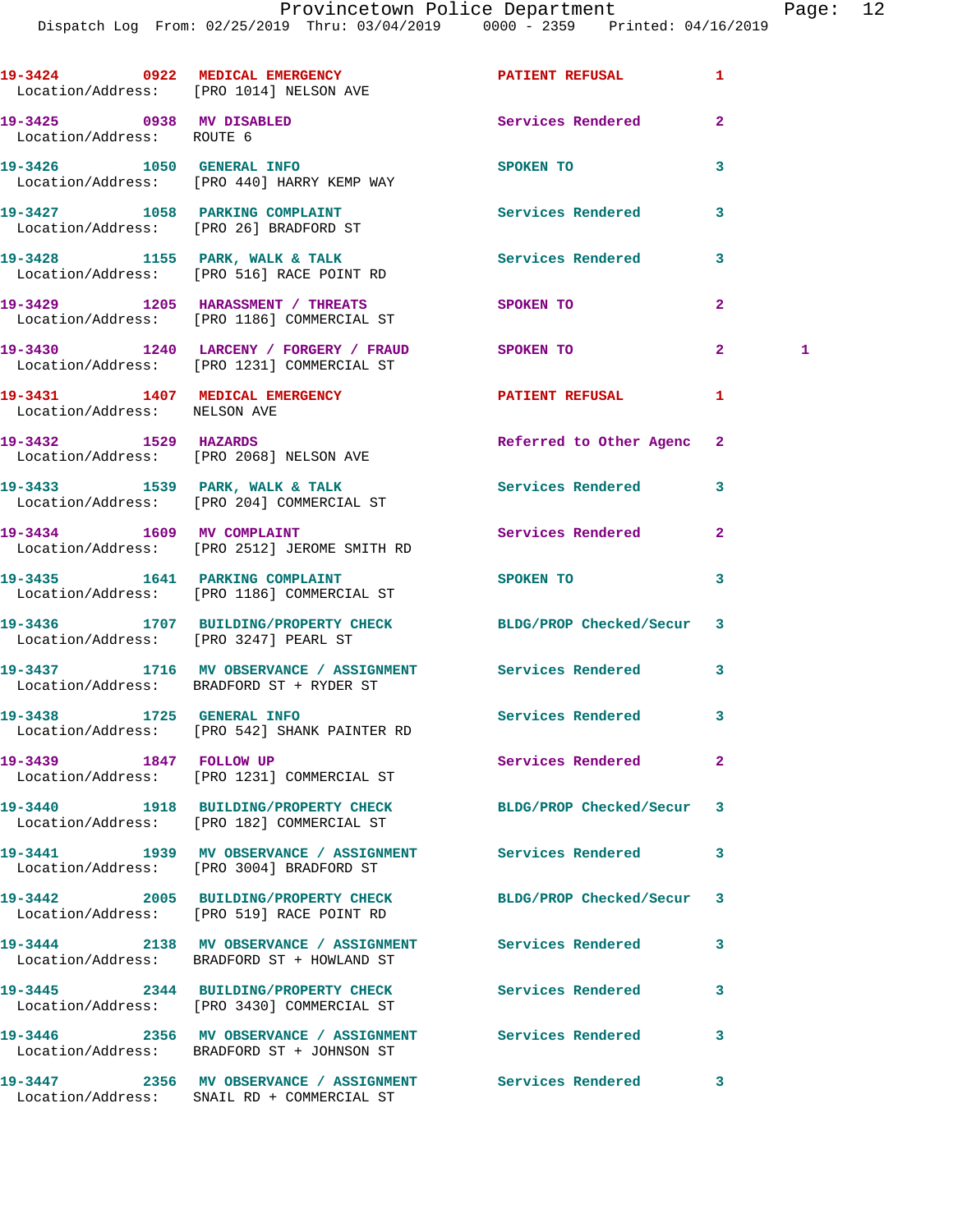|                                                       | 19-3424 0922 MEDICAL EMERGENCY <b>SERVICE AND ALL PATIENT REFUSAL</b><br>Location/Address: [PRO 1014] NELSON AVE |                          | 1              |   |
|-------------------------------------------------------|------------------------------------------------------------------------------------------------------------------|--------------------------|----------------|---|
| 19-3425 0938 MV DISABLED<br>Location/Address: ROUTE 6 |                                                                                                                  | Services Rendered        | $\overline{2}$ |   |
|                                                       | 19-3426 1050 GENERAL INFO<br>Location/Address: [PRO 440] HARRY KEMP WAY                                          | SPOKEN TO                | 3              |   |
|                                                       | 19-3427 1058 PARKING COMPLAINT<br>Location/Address: [PRO 26] BRADFORD ST                                         | Services Rendered        | 3              |   |
|                                                       | 19-3428 1155 PARK, WALK & TALK<br>Location/Address: [PRO 516] RACE POINT RD                                      | Services Rendered        | 3              |   |
|                                                       | 19-3429 1205 HARASSMENT / THREATS<br>Location/Address: [PRO 1186] COMMERCIAL ST                                  | SPOKEN TO                | $\mathbf{2}$   |   |
|                                                       | 19-3430 1240 LARCENY / FORGERY / FRAUD<br>Location/Address: [PRO 1231] COMMERCIAL ST                             | SPOKEN TO                | $\mathbf{2}$   | 1 |
| Location/Address: NELSON AVE                          | 19-3431 1407 MEDICAL EMERGENCY PATIENT REFUSAL                                                                   |                          | 1              |   |
|                                                       | 19-3432 1529 HAZARDS<br>Location/Address: [PRO 2068] NELSON AVE                                                  | Referred to Other Agenc  | $\mathbf{2}$   |   |
|                                                       | 19-3433 1539 PARK, WALK & TALK<br>Location/Address: [PRO 204] COMMERCIAL ST                                      | Services Rendered        | 3              |   |
|                                                       | 19-3434 1609 MV COMPLAINT<br>Location/Address: [PRO 2512] JEROME SMITH RD                                        | Services Rendered        | $\mathbf{2}$   |   |
|                                                       | 19-3435 1641 PARKING COMPLAINT<br>Location/Address: [PRO 1186] COMMERCIAL ST                                     | SPOKEN TO                | 3              |   |
| Location/Address: [PRO 3247] PEARL ST                 | 19-3436 1707 BUILDING/PROPERTY CHECK BLDG/PROP Checked/Secur                                                     |                          | 3              |   |
|                                                       | 19-3437 1716 MV OBSERVANCE / ASSIGNMENT Services Rendered<br>Location/Address: BRADFORD ST + RYDER ST            |                          | 3              |   |
|                                                       | 19-3438 1725 GENERAL INFO<br>Location/Address: [PRO 542] SHANK PAINTER RD                                        | Services Rendered        | 3              |   |
| 19-3439 1847 FOLLOW UP                                | Location/Address: [PRO 1231] COMMERCIAL ST                                                                       | Services Rendered        | 2              |   |
|                                                       | 19-3440 1918 BUILDING/PROPERTY CHECK<br>Location/Address: [PRO 182] COMMERCIAL ST                                | BLDG/PROP Checked/Secur  | 3              |   |
|                                                       | 19-3441 1939 MV OBSERVANCE / ASSIGNMENT Services Rendered<br>Location/Address: [PRO 3004] BRADFORD ST            |                          | 3              |   |
|                                                       | 19-3442 2005 BUILDING/PROPERTY CHECK<br>Location/Address: [PRO 519] RACE POINT RD                                | BLDG/PROP Checked/Secur  | 3              |   |
|                                                       | 19-3444 2138 MV OBSERVANCE / ASSIGNMENT Services Rendered<br>Location/Address: BRADFORD ST + HOWLAND ST          |                          | 3              |   |
|                                                       | 19-3445 2344 BUILDING/PROPERTY CHECK<br>Location/Address: [PRO 3430] COMMERCIAL ST                               | <b>Services Rendered</b> | 3              |   |
|                                                       | 19-3446 2356 MV OBSERVANCE / ASSIGNMENT Services Rendered<br>Location/Address: BRADFORD ST + JOHNSON ST          |                          | 3              |   |
|                                                       | 19-3447 2356 MV OBSERVANCE / ASSIGNMENT Services Rendered<br>Location/Address: SNAIL RD + COMMERCIAL ST          |                          | 3              |   |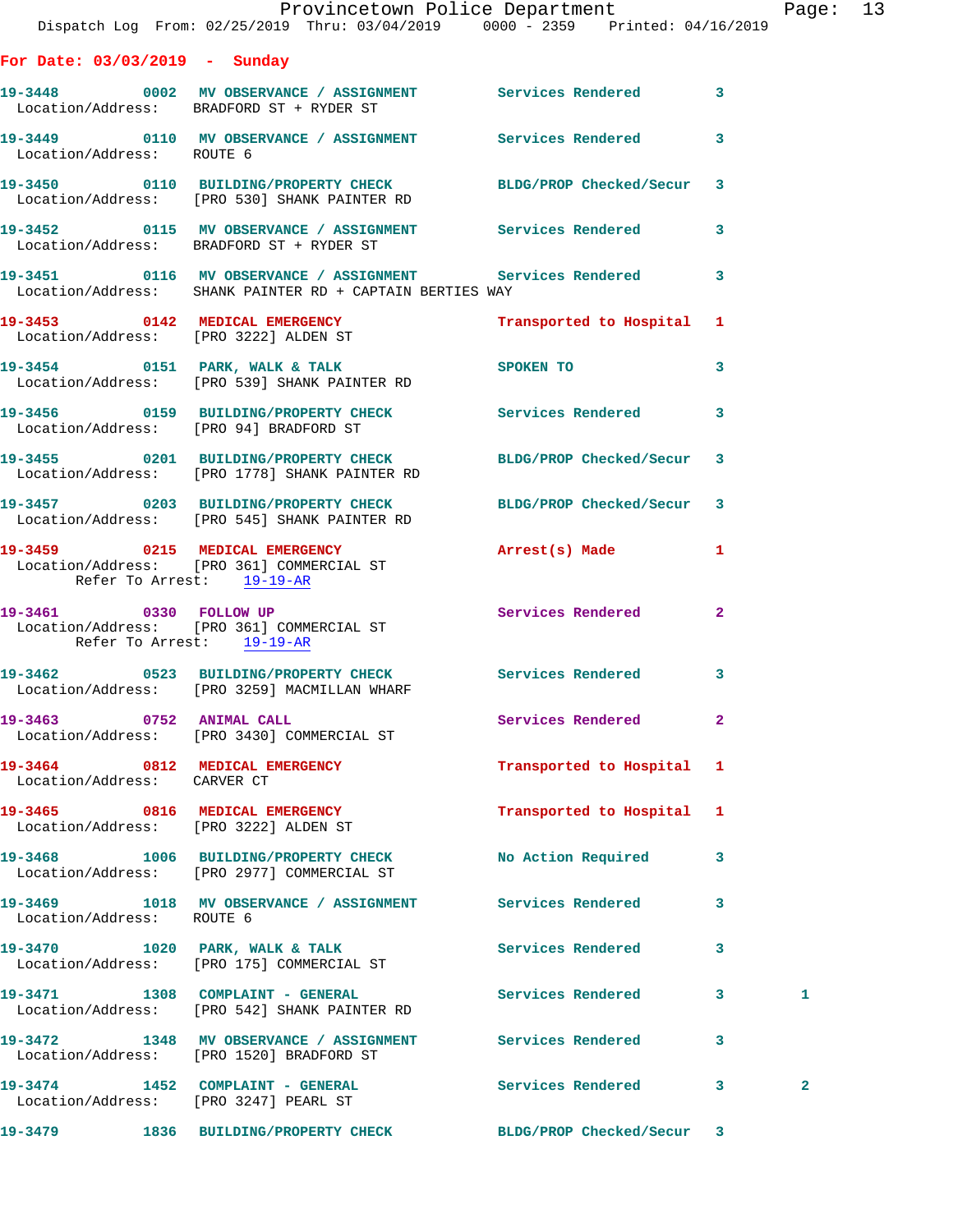|                                                                         | Provincetown Police Department The Rage: 13<br>Dispatch Log From: 02/25/2019 Thru: 03/04/2019 0000 - 2359 Printed: 04/16/2019 |                           |              |              |  |
|-------------------------------------------------------------------------|-------------------------------------------------------------------------------------------------------------------------------|---------------------------|--------------|--------------|--|
|                                                                         |                                                                                                                               |                           |              |              |  |
| For Date: 03/03/2019 - Sunday                                           |                                                                                                                               |                           |              |              |  |
|                                                                         | 19-3448 0002 MV OBSERVANCE / ASSIGNMENT Services Rendered 3<br>Location/Address: BRADFORD ST + RYDER ST                       |                           |              |              |  |
| Location/Address: ROUTE 6                                               | 19-3449 0110 MV OBSERVANCE / ASSIGNMENT Services Rendered 3                                                                   |                           |              |              |  |
|                                                                         | 19-3450 0110 BUILDING/PROPERTY CHECK BLDG/PROP Checked/Secur 3<br>Location/Address: [PRO 530] SHANK PAINTER RD                |                           |              |              |  |
|                                                                         | 19-3452 0115 MV OBSERVANCE / ASSIGNMENT Services Rendered 3<br>Location/Address: BRADFORD ST + RYDER ST                       |                           |              |              |  |
|                                                                         | 19-3451 0116 MV OBSERVANCE / ASSIGNMENT Services Rendered 3<br>Location/Address: SHANK PAINTER RD + CAPTAIN BERTIES WAY       |                           |              |              |  |
|                                                                         | 19-3453   0142   MEDICAL EMERGENCY   Transported to Hospital 1   Location/Address: [PRO 3222] ALDEN ST                        |                           |              |              |  |
|                                                                         | 19-3454 0151 PARK, WALK & TALK SPOKEN TO<br>Location/Address: [PRO 539] SHANK PAINTER RD                                      |                           | $\mathbf{3}$ |              |  |
|                                                                         | 19-3456 0159 BUILDING/PROPERTY CHECK Services Rendered 3<br>Location/Address: [PRO 94] BRADFORD ST                            |                           |              |              |  |
|                                                                         | 19-3455 0201 BUILDING/PROPERTY CHECK BLDG/PROP Checked/Secur 3<br>Location/Address: [PRO 1778] SHANK PAINTER RD               |                           |              |              |  |
|                                                                         | 19-3457 0203 BUILDING/PROPERTY CHECK BLDG/PROP Checked/Secur 3<br>Location/Address: [PRO 545] SHANK PAINTER RD                |                           |              |              |  |
| Refer To Arrest: 19-19-AR                                               | 19-3459 0215 MEDICAL EMERGENCY Arrest(s) Made 1<br>Location/Address: [PRO 361] COMMERCIAL ST                                  |                           |              |              |  |
| Refer To Arrest: 19-19-AR                                               | 19-3461 0330 FOLLOW UP<br>Location/Address: [PRO 361] COMMERCIAL ST                                                           | Services Rendered 2       |              |              |  |
|                                                                         | 19-3462 0523 BUILDING/PROPERTY CHECK Services Rendered 3<br>Location/Address: [PRO 3259] MACMILLAN WHARF                      |                           |              |              |  |
| 19-3463 0752 ANIMAL CALL                                                | Location/Address: [PRO 3430] COMMERCIAL ST                                                                                    | Services Rendered         | $\mathbf{2}$ |              |  |
| Location/Address: CARVER CT                                             | 19-3464 0812 MEDICAL EMERGENCY                                                                                                | Transported to Hospital 1 |              |              |  |
| 19-3465 0816 MEDICAL EMERGENCY<br>Location/Address: [PRO 3222] ALDEN ST |                                                                                                                               | Transported to Hospital 1 |              |              |  |
|                                                                         | 19-3468 1006 BUILDING/PROPERTY CHECK<br>Location/Address: [PRO 2977] COMMERCIAL ST                                            | No Action Required 3      |              |              |  |
| Location/Address: ROUTE 6                                               | 19-3469 1018 MV OBSERVANCE / ASSIGNMENT Services Rendered 3                                                                   |                           |              |              |  |
|                                                                         | 19-3470 1020 PARK, WALK & TALK Services Rendered<br>Location/Address: [PRO 175] COMMERCIAL ST                                 |                           | 3            |              |  |
|                                                                         | 19-3471 1308 COMPLAINT - GENERAL Services Rendered 3<br>Location/Address: [PRO 542] SHANK PAINTER RD                          |                           |              | 1            |  |
|                                                                         | 19-3472 1348 MV OBSERVANCE / ASSIGNMENT Services Rendered<br>Location/Address: [PRO 1520] BRADFORD ST                         |                           | $\mathbf{3}$ |              |  |
|                                                                         | 19-3474 1452 COMPLAINT - GENERAL Services Rendered 3<br>Location/Address: [PRO 3247] PEARL ST                                 |                           |              | $\mathbf{2}$ |  |
|                                                                         | 19-3479 1836 BUILDING/PROPERTY CHECK BLDG/PROP Checked/Secur 3                                                                |                           |              |              |  |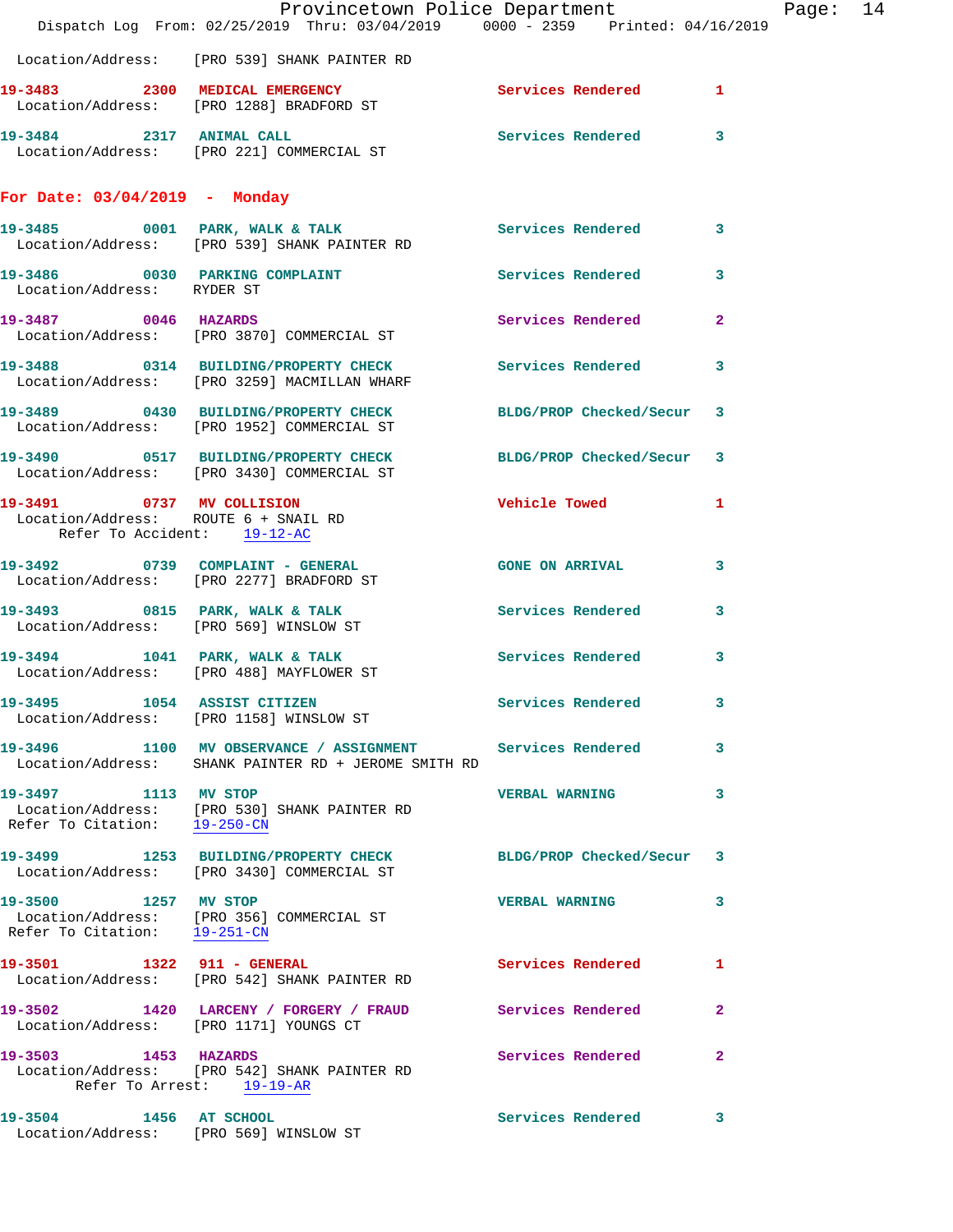|                                                      | Provincetown Police Department Page: 14<br>Dispatch Log From: 02/25/2019 Thru: 03/04/2019 0000 - 2359 Printed: 04/16/2019 |                        |                |  |
|------------------------------------------------------|---------------------------------------------------------------------------------------------------------------------------|------------------------|----------------|--|
|                                                      | Location/Address: [PRO 539] SHANK PAINTER RD                                                                              |                        |                |  |
|                                                      | 19-3483 2300 MEDICAL EMERGENCY ST Services Rendered 1 Location/Address: [PRO 1288] BRADFORD ST                            |                        |                |  |
|                                                      | 19-3484 2317 ANIMAL CALL 2008 Services Rendered 3<br>Location/Address: [PRO 221] COMMERCIAL ST                            |                        |                |  |
| For Date: $03/04/2019$ - Monday                      |                                                                                                                           |                        |                |  |
|                                                      | 19-3485 0001 PARK, WALK & TALK 3 Services Rendered 3<br>Location/Address: [PRO 539] SHANK PAINTER RD                      |                        |                |  |
| Location/Address: RYDER ST                           | 19-3486 0030 PARKING COMPLAINT Services Rendered 3                                                                        |                        |                |  |
|                                                      | 19-3487 0046 HAZARDS<br>Location/Address: [PRO 3870] COMMERCIAL ST                                                        | Services Rendered 2    |                |  |
|                                                      | 19-3488 0314 BUILDING/PROPERTY CHECK Services Rendered 3<br>Location/Address: [PRO 3259] MACMILLAN WHARF                  |                        |                |  |
|                                                      | 19-3489 0430 BUILDING/PROPERTY CHECK BLDG/PROP Checked/Secur 3<br>Location/Address: [PRO 1952] COMMERCIAL ST              |                        |                |  |
|                                                      | 19-3490 0517 BUILDING/PROPERTY CHECK BLDG/PROP Checked/Secur 3<br>Location/Address: [PRO 3430] COMMERCIAL ST              |                        |                |  |
| Refer To Accident: 19-12-AC                          | 19-3491 0737 MV COLLISION<br>Location/Address: ROUTE 6 + SNAIL RD                                                         | Vehicle Towed <b>1</b> |                |  |
|                                                      | 19-3492 0739 COMPLAINT - GENERAL GONE ON ARRIVAL<br>Location/Address: [PRO 2277] BRADFORD ST                              |                        | $\mathbf{3}$   |  |
|                                                      | 19-3493 0815 PARK, WALK & TALK 6 Services Rendered 3<br>Location/Address: [PRO 569] WINSLOW ST                            |                        |                |  |
|                                                      | 19-3494 1041 PARK, WALK & TALK Services Rendered 3<br>Location/Address: [PRO 488] MAYFLOWER ST                            |                        |                |  |
|                                                      | 19-3495 1054 ASSIST CITIZEN<br>Location/Address: [PRO 1158] WINSLOW ST                                                    | Services Rendered      | 3              |  |
|                                                      | 19-3496 1100 MV OBSERVANCE / ASSIGNMENT Services Rendered 3<br>Location/Address: SHANK PAINTER RD + JEROME SMITH RD       |                        |                |  |
| 19-3497 1113 MV STOP                                 | Location/Address: [PRO 530] SHANK PAINTER RD<br>Refer To Citation: 19-250-CN                                              | <b>VERBAL WARNING</b>  | 3              |  |
|                                                      | 19-3499 1253 BUILDING/PROPERTY CHECK BLDG/PROP Checked/Secur 3<br>Location/Address: [PRO 3430] COMMERCIAL ST              |                        |                |  |
| 19-3500 1257 MV STOP<br>Refer To Citation: 19-251-CN | Location/Address: [PRO 356] COMMERCIAL ST                                                                                 | <b>VERBAL WARNING</b>  | 3              |  |
|                                                      | 19-3501 1322 911 - GENERAL<br>Location/Address: [PRO 542] SHANK PAINTER RD                                                | Services Rendered      | 1              |  |
| Location/Address: [PRO 1171] YOUNGS CT               | 19-3502 1420 LARCENY / FORGERY / FRAUD Services Rendered                                                                  |                        | $\overline{2}$ |  |
| 19-3503 1453 HAZARDS<br>Refer To Arrest: 19-19-AR    | Location/Address: [PRO 542] SHANK PAINTER RD                                                                              | Services Rendered      | $\mathbf{2}$   |  |
| 19-3504 1456 AT SCHOOL                               | Location/Address: [PRO 569] WINSLOW ST                                                                                    | Services Rendered 3    |                |  |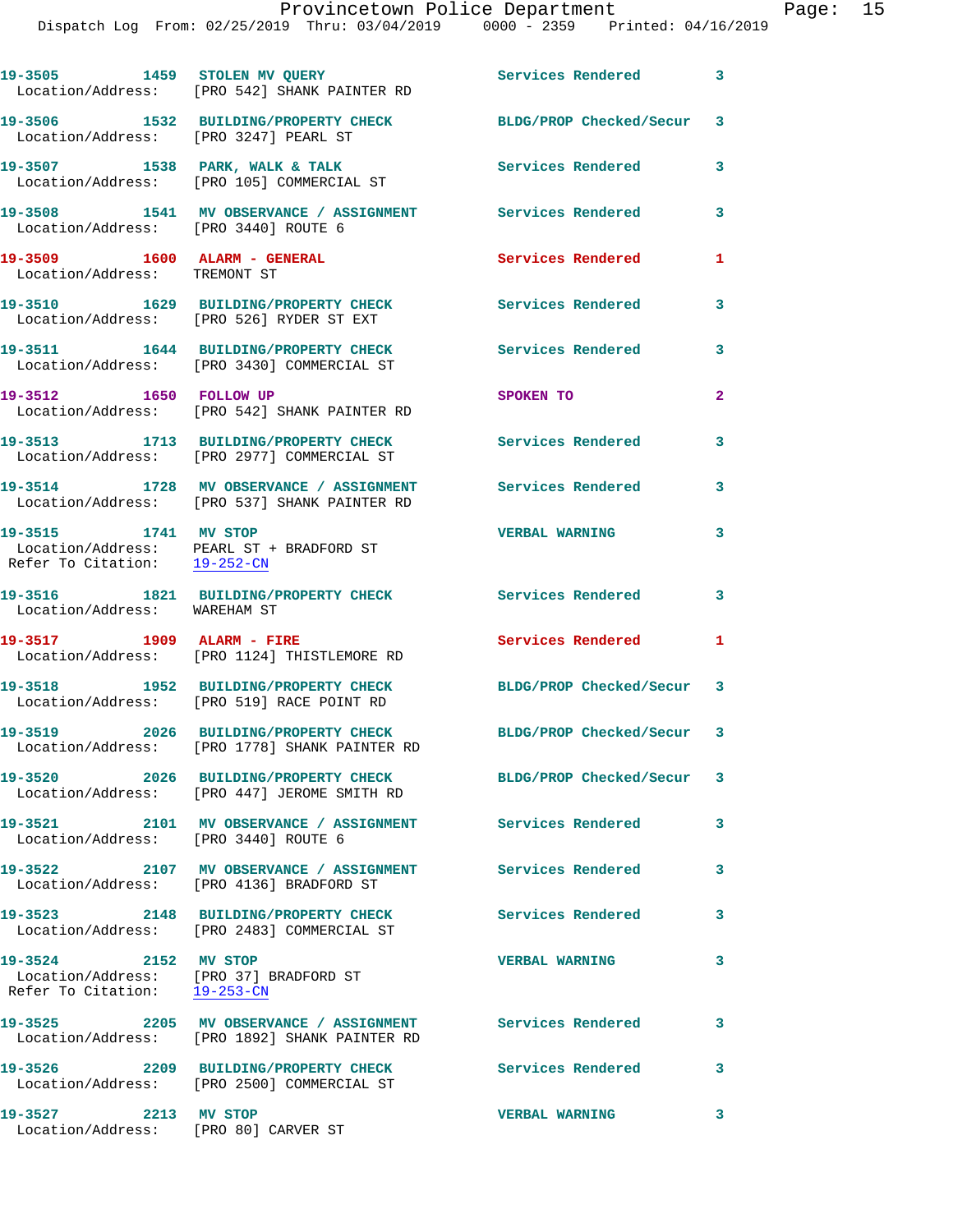|                                                                                                | 19-3505 1459 STOLEN MV QUERY<br>Location/Address: [PRO 542] SHANK PAINTER RD                               | <b>Services Rendered</b>  | 3                       |
|------------------------------------------------------------------------------------------------|------------------------------------------------------------------------------------------------------------|---------------------------|-------------------------|
| Location/Address: [PRO 3247] PEARL ST                                                          | 19-3506 1532 BUILDING/PROPERTY CHECK BLDG/PROP Checked/Secur 3                                             |                           |                         |
|                                                                                                | 19-3507 1538 PARK, WALK & TALK<br>Location/Address: [PRO 105] COMMERCIAL ST                                | Services Rendered         | 3                       |
| Location/Address: [PRO 3440] ROUTE 6                                                           | 19-3508 1541 MV OBSERVANCE / ASSIGNMENT Services Rendered                                                  |                           | $\mathbf{3}$            |
| 19-3509 1600 ALARM - GENERAL<br>Location/Address: TREMONT ST                                   |                                                                                                            | Services Rendered         | 1                       |
|                                                                                                | 19-3510 1629 BUILDING/PROPERTY CHECK<br>Location/Address: [PRO 526] RYDER ST EXT                           | Services Rendered         | 3                       |
|                                                                                                | 19-3511 1644 BUILDING/PROPERTY CHECK<br>Location/Address: [PRO 3430] COMMERCIAL ST                         | Services Rendered         | 3                       |
| 19-3512 1650 FOLLOW UP                                                                         | Location/Address: [PRO 542] SHANK PAINTER RD                                                               | SPOKEN TO                 | $\mathbf{2}$            |
|                                                                                                | 19-3513 1713 BUILDING/PROPERTY CHECK<br>Location/Address: [PRO 2977] COMMERCIAL ST                         | <b>Services Rendered</b>  | $\mathbf{3}$            |
|                                                                                                | 19-3514 1728 MV OBSERVANCE / ASSIGNMENT Services Rendered<br>Location/Address: [PRO 537] SHANK PAINTER RD  |                           | 3                       |
| 19-3515 1741 MV STOP                                                                           | Location/Address: PEARL ST + BRADFORD ST<br>Refer To Citation: 19-252-CN                                   | <b>VERBAL WARNING</b>     | 3                       |
|                                                                                                | 19-3516 1821 BUILDING/PROPERTY CHECK Services Rendered<br>Location/Address: WAREHAM ST                     |                           | 3                       |
| 19-3517 1909 ALARM - FIRE                                                                      | Location/Address: [PRO 1124] THISTLEMORE RD                                                                | Services Rendered         | 1                       |
|                                                                                                | 19-3518 1952 BUILDING/PROPERTY CHECK<br>Location/Address: [PRO 519] RACE POINT RD                          | BLDG/PROP Checked/Secur 3 |                         |
|                                                                                                | 19-3519 2026 BUILDING/PROPERTY CHECK<br>Location/Address: [PRO 1778] SHANK PAINTER RD                      | BLDG/PROP Checked/Secur 3 |                         |
|                                                                                                | 19-3520 2026 BUILDING/PROPERTY CHECK<br>Location/Address: [PRO 447] JEROME SMITH RD                        | BLDG/PROP Checked/Secur 3 |                         |
| Location/Address: [PRO 3440] ROUTE 6                                                           | 19-3521 2101 MV OBSERVANCE / ASSIGNMENT Services Rendered                                                  |                           | 3                       |
|                                                                                                | 19-3522 2107 MV OBSERVANCE / ASSIGNMENT Services Rendered<br>Location/Address: [PRO 4136] BRADFORD ST      |                           | 3                       |
| 19-3523                                                                                        | 2148 BUILDING/PROPERTY CHECK<br>Location/Address: [PRO 2483] COMMERCIAL ST                                 | Services Rendered         | $\overline{\mathbf{3}}$ |
| 19-3524 2152 MV STOP<br>Location/Address: [PRO 37] BRADFORD ST<br>Refer To Citation: 19-253-CN |                                                                                                            | <b>VERBAL WARNING</b>     | 3                       |
|                                                                                                | 19-3525 2205 MV OBSERVANCE / ASSIGNMENT Services Rendered<br>Location/Address: [PRO 1892] SHANK PAINTER RD |                           | 3                       |
|                                                                                                | Location/Address: [PRO 2500] COMMERCIAL ST                                                                 | Services Rendered         | 3                       |
| 19-3527 2213 MV STOP                                                                           |                                                                                                            | <b>VERBAL WARNING</b>     | 3                       |

Location/Address: [PRO 80] CARVER ST